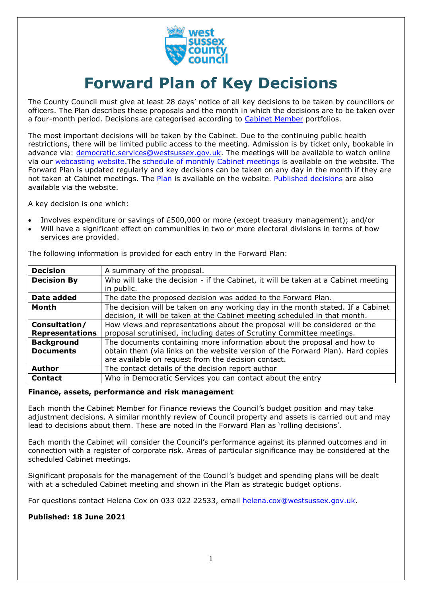

# **Forward Plan of Key Decisions**

The County Council must give at least 28 days' notice of all key decisions to be taken by councillors or officers. The Plan describes these proposals and the month in which the decisions are to be taken over a four-month period. Decisions are categorised according to [Cabinet Member](https://westsussex.moderngov.co.uk/mgCommitteeDetails.aspx?ID=134) portfolios.

The most important decisions will be taken by the Cabinet. Due to the continuing public health restrictions, there will be limited public access to the meeting. Admission is by ticket only, bookable in advance via: [democratic.services@westsussex.gov.uk.](mailto:democratic.services@westsussex.gov.uk) The meetings will be available to watch online via our [webcasting website.](https://www.westsussex.gov.uk/about-the-council/how-the-council-works/committees-and-decision-making/watch-county-council-and-committee-meetings-online/) The [schedule of monthly Cabinet meetings](https://westsussex.moderngov.co.uk/ieListMeetings.aspx?CommitteeId=134) is available on the website. The Forward Plan is updated regularly and key decisions can be taken on any day in the month if they are not taken at Cabinet meetings. The [Plan](https://westsussex.moderngov.co.uk/mgListPlans.aspx?RPId=413&RD=0&bcr=1) is available on the website. [Published decisions](https://westsussex.moderngov.co.uk/mgDelegatedDecisions.aspx?bcr=1&DM=0&DS=2&K=0&DR=&V=0) are also available via the website.

A key decision is one which:

- Involves expenditure or savings of £500,000 or more (except treasury management); and/or
- Will have a significant effect on communities in two or more electoral divisions in terms of how services are provided.

| <b>Decision</b>        | A summary of the proposal.                                                         |
|------------------------|------------------------------------------------------------------------------------|
| <b>Decision By</b>     | Who will take the decision - if the Cabinet, it will be taken at a Cabinet meeting |
|                        | in public.                                                                         |
| Date added             | The date the proposed decision was added to the Forward Plan.                      |
| Month                  | The decision will be taken on any working day in the month stated. If a Cabinet    |
|                        | decision, it will be taken at the Cabinet meeting scheduled in that month.         |
| Consultation/          | How views and representations about the proposal will be considered or the         |
| <b>Representations</b> | proposal scrutinised, including dates of Scrutiny Committee meetings.              |
| <b>Background</b>      | The documents containing more information about the proposal and how to            |
| <b>Documents</b>       | obtain them (via links on the website version of the Forward Plan). Hard copies    |
|                        | are available on request from the decision contact.                                |
| <b>Author</b>          | The contact details of the decision report author                                  |
| <b>Contact</b>         | Who in Democratic Services you can contact about the entry                         |

The following information is provided for each entry in the Forward Plan:

#### **Finance, assets, performance and risk management**

Each month the Cabinet Member for Finance reviews the Council's budget position and may take adjustment decisions. A similar monthly review of Council property and assets is carried out and may lead to decisions about them. These are noted in the Forward Plan as 'rolling decisions'.

Each month the Cabinet will consider the Council's performance against its planned outcomes and in connection with a register of corporate risk. Areas of particular significance may be considered at the scheduled Cabinet meetings.

Significant proposals for the management of the Council's budget and spending plans will be dealt with at a scheduled Cabinet meeting and shown in the Plan as strategic budget options.

For questions contact Helena Cox on 033 022 22533, email [helena.cox@westsussex.gov.uk.](mailto:helena.cox@westsussex.gov.uk)

## **Published: 18 June 2021**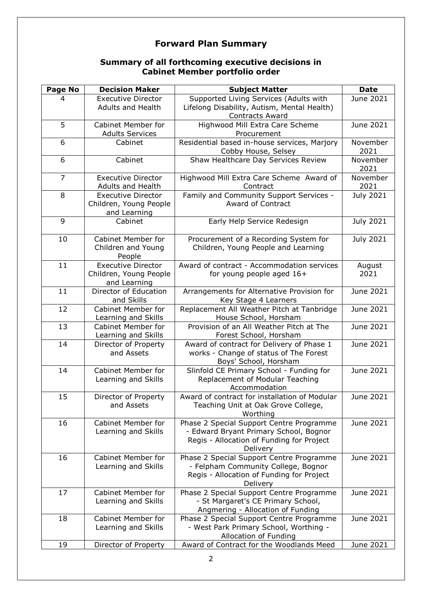## **Forward Plan Summary**

## **Summary of all forthcoming executive decisions in Cabinet Member portfolio order**

| <b>Page No</b> | <b>Decision Maker</b>                                               | <b>Subject Matter</b>                                                                                                                       | <b>Date</b>      |
|----------------|---------------------------------------------------------------------|---------------------------------------------------------------------------------------------------------------------------------------------|------------------|
| 4              | <b>Executive Director</b>                                           | Supported Living Services (Adults with                                                                                                      | June 2021        |
|                | <b>Adults and Health</b>                                            | Lifelong Disability, Autism, Mental Health)<br><b>Contracts Award</b>                                                                       |                  |
| 5              | <b>Cabinet Member for</b><br><b>Adults Services</b>                 | Highwood Mill Extra Care Scheme<br>Procurement                                                                                              | June 2021        |
| 6              | Cabinet                                                             | Residential based in-house services, Marjory<br>Cobby House, Selsey                                                                         | November<br>2021 |
| 6              | Cabinet                                                             | Shaw Healthcare Day Services Review                                                                                                         | November<br>2021 |
| $\overline{7}$ | <b>Executive Director</b><br><b>Adults and Health</b>               | Highwood Mill Extra Care Scheme Award of<br>Contract                                                                                        | November<br>2021 |
| 8              | <b>Executive Director</b><br>Children, Young People<br>and Learning | Family and Community Support Services -<br>Award of Contract                                                                                | <b>July 2021</b> |
| 9              | Cabinet                                                             | Early Help Service Redesign                                                                                                                 | <b>July 2021</b> |
| 10             | <b>Cabinet Member for</b><br>Children and Young<br>People           | Procurement of a Recording System for<br>Children, Young People and Learning                                                                | <b>July 2021</b> |
| 11             | <b>Executive Director</b><br>Children, Young People<br>and Learning | Award of contract - Accommodation services<br>for young people aged 16+                                                                     | August<br>2021   |
| 11             | Director of Education<br>and Skills                                 | Arrangements for Alternative Provision for<br>Key Stage 4 Learners                                                                          | June 2021        |
| 12             | <b>Cabinet Member for</b><br>Learning and Skills                    | Replacement All Weather Pitch at Tanbridge<br>House School, Horsham                                                                         | June 2021        |
| 13             | <b>Cabinet Member for</b><br>Learning and Skills                    | Provision of an All Weather Pitch at The<br>Forest School, Horsham                                                                          | June 2021        |
| 14             | Director of Property<br>and Assets                                  | Award of contract for Delivery of Phase 1<br>works - Change of status of The Forest<br>Boys' School, Horsham                                | June 2021        |
| 14             | <b>Cabinet Member for</b><br>Learning and Skills                    | Slinfold CE Primary School - Funding for<br>Replacement of Modular Teaching<br>Accommodation                                                | June 2021        |
| 15             | Director of Property<br>and Assets                                  | Award of contract for installation of Modular<br>Teaching Unit at Oak Grove College,<br>Worthing                                            | June 2021        |
| 16             | <b>Cabinet Member for</b><br>Learning and Skills                    | Phase 2 Special Support Centre Programme<br>- Edward Bryant Primary School, Bognor<br>Regis - Allocation of Funding for Project<br>Delivery | June 2021        |
| 16             | Cabinet Member for<br>Learning and Skills                           | Phase 2 Special Support Centre Programme<br>- Felpham Community College, Bognor<br>Regis - Allocation of Funding for Project<br>Delivery    | June 2021        |
| 17             | <b>Cabinet Member for</b><br>Learning and Skills                    | Phase 2 Special Support Centre Programme<br>- St Margaret's CE Primary School,<br>Angmering - Allocation of Funding                         | June 2021        |
| 18             | <b>Cabinet Member for</b><br>Learning and Skills                    | Phase 2 Special Support Centre Programme<br>- West Park Primary School, Worthing -<br>Allocation of Funding                                 | June 2021        |
| 19             | Director of Property                                                | Award of Contract for the Woodlands Meed                                                                                                    | June 2021        |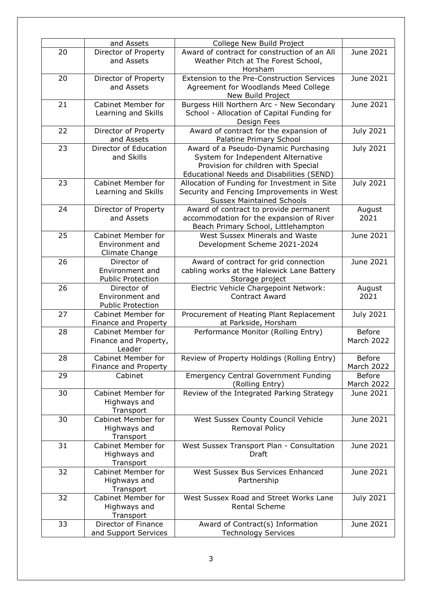|    | and Assets                  | College New Build Project                    |                  |
|----|-----------------------------|----------------------------------------------|------------------|
| 20 | Director of Property        | Award of contract for construction of an All | June 2021        |
|    | and Assets                  | Weather Pitch at The Forest School,          |                  |
|    |                             | Horsham                                      |                  |
| 20 | Director of Property        | Extension to the Pre-Construction Services   | June 2021        |
|    | and Assets                  | Agreement for Woodlands Meed College         |                  |
|    |                             | New Build Project                            |                  |
| 21 | <b>Cabinet Member for</b>   | Burgess Hill Northern Arc - New Secondary    | June 2021        |
|    | Learning and Skills         | School - Allocation of Capital Funding for   |                  |
|    |                             | Design Fees                                  |                  |
| 22 | Director of Property        | Award of contract for the expansion of       | <b>July 2021</b> |
|    | and Assets                  | Palatine Primary School                      |                  |
| 23 | Director of Education       | Award of a Pseudo-Dynamic Purchasing         | <b>July 2021</b> |
|    | and Skills                  | System for Independent Alternative           |                  |
|    |                             | Provision for children with Special          |                  |
|    |                             | Educational Needs and Disabilities (SEND)    |                  |
| 23 | Cabinet Member for          | Allocation of Funding for Investment in Site | <b>July 2021</b> |
|    | Learning and Skills         | Security and Fencing Improvements in West    |                  |
|    |                             | <b>Sussex Maintained Schools</b>             |                  |
| 24 | Director of Property        | Award of contract to provide permanent       | August           |
|    | and Assets                  | accommodation for the expansion of River     | 2021             |
|    |                             | Beach Primary School, Littlehampton          |                  |
| 25 | Cabinet Member for          | West Sussex Minerals and Waste               | June 2021        |
|    | Environment and             | Development Scheme 2021-2024                 |                  |
|    | Climate Change              |                                              |                  |
| 26 | Director of                 | Award of contract for grid connection        | June 2021        |
|    | Environment and             | cabling works at the Halewick Lane Battery   |                  |
|    | <b>Public Protection</b>    | Storage project                              |                  |
| 26 | Director of                 | Electric Vehicle Chargepoint Network:        | August           |
|    | Environment and             | <b>Contract Award</b>                        | 2021             |
|    | <b>Public Protection</b>    |                                              |                  |
| 27 | <b>Cabinet Member for</b>   | Procurement of Heating Plant Replacement     | <b>July 2021</b> |
|    | Finance and Property        | at Parkside, Horsham                         |                  |
| 28 | Cabinet Member for          | Performance Monitor (Rolling Entry)          | <b>Before</b>    |
|    | Finance and Property,       |                                              | March 2022       |
|    | Leader                      |                                              |                  |
| 28 | <b>Cabinet Member for</b>   | Review of Property Holdings (Rolling Entry)  | <b>Before</b>    |
|    | <b>Finance and Property</b> |                                              | March 2022       |
| 29 | Cabinet                     | <b>Emergency Central Government Funding</b>  | <b>Before</b>    |
|    |                             | (Rolling Entry)                              | March 2022       |
| 30 | <b>Cabinet Member for</b>   | Review of the Integrated Parking Strategy    | June 2021        |
|    | Highways and                |                                              |                  |
|    | Transport                   |                                              |                  |
| 30 | <b>Cabinet Member for</b>   | West Sussex County Council Vehicle           | June 2021        |
|    | Highways and                | Removal Policy                               |                  |
|    | Transport                   |                                              |                  |
| 31 | <b>Cabinet Member for</b>   | West Sussex Transport Plan - Consultation    | June 2021        |
|    | Highways and                | Draft                                        |                  |
|    | Transport                   |                                              |                  |
| 32 | <b>Cabinet Member for</b>   | West Sussex Bus Services Enhanced            | June 2021        |
|    | Highways and                | Partnership                                  |                  |
|    | Transport                   |                                              |                  |
| 32 | <b>Cabinet Member for</b>   | West Sussex Road and Street Works Lane       | July 2021        |
|    | Highways and                | Rental Scheme                                |                  |
|    | Transport                   |                                              |                  |
| 33 | Director of Finance         | Award of Contract(s) Information             | June 2021        |
|    |                             | <b>Technology Services</b>                   |                  |
|    | and Support Services        |                                              |                  |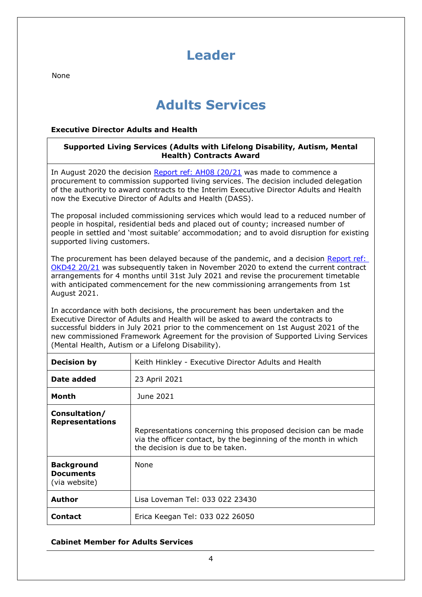# **Leader**

None

# <span id="page-3-0"></span>**Adults Services**

## **Executive Director Adults and Health**

## **Supported Living Services (Adults with Lifelong Disability, Autism, Mental Health) Contracts Award**

In August 2020 the decision [Report ref: AH08 \(20/21](https://westsussex.moderngov.co.uk/ieDecisionDetails.aspx?ID=997) was made to commence a procurement to commission supported living services. The decision included delegation of the authority to award contracts to the Interim Executive Director Adults and Health now the Executive Director of Adults and Health (DASS).

The proposal included commissioning services which would lead to a reduced number of people in hospital, residential beds and placed out of county; increased number of people in settled and 'most suitable' accommodation; and to avoid disruption for existing supported living customers.

The procurement has been delayed because of the pandemic, and a decision [Report ref:](https://westsussex.moderngov.co.uk/ieDecisionDetails.aspx?ID=1087)  [OKD42 20/21](https://westsussex.moderngov.co.uk/ieDecisionDetails.aspx?ID=1087) was subsequently taken in November 2020 to extend the current contract arrangements for 4 months until 31st July 2021 and revise the procurement timetable with anticipated commencement for the new commissioning arrangements from 1st August 2021.

In accordance with both decisions, the procurement has been undertaken and the Executive Director of Adults and Health will be asked to award the contracts to successful bidders in July 2021 prior to the commencement on 1st August 2021 of the new commissioned Framework Agreement for the provision of Supported Living Services (Mental Health, Autism or a Lifelong Disability).

| <b>Decision by</b>                                     | Keith Hinkley - Executive Director Adults and Health                                                                                                                 |
|--------------------------------------------------------|----------------------------------------------------------------------------------------------------------------------------------------------------------------------|
| Date added                                             | 23 April 2021                                                                                                                                                        |
| Month                                                  | June 2021                                                                                                                                                            |
| Consultation/<br><b>Representations</b>                | Representations concerning this proposed decision can be made<br>via the officer contact, by the beginning of the month in which<br>the decision is due to be taken. |
| <b>Background</b><br><b>Documents</b><br>(via website) | None                                                                                                                                                                 |
| <b>Author</b>                                          | Lisa Loveman Tel: 033 022 23430                                                                                                                                      |
| Contact                                                | Erica Keegan Tel: 033 022 26050                                                                                                                                      |

## **Cabinet Member for Adults Services**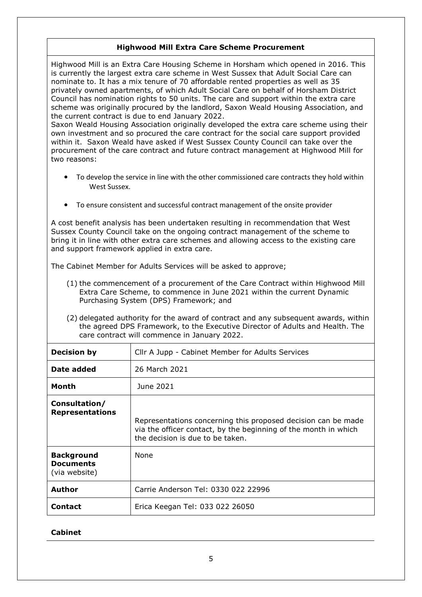## <span id="page-4-0"></span>**Highwood Mill Extra Care Scheme Procurement**

Highwood Mill is an Extra Care Housing Scheme in Horsham which opened in 2016. This is currently the largest extra care scheme in West Sussex that Adult Social Care can nominate to. It has a mix tenure of 70 affordable rented properties as well as 35 privately owned apartments, of which Adult Social Care on behalf of Horsham District Council has nomination rights to 50 units. The care and support within the extra care scheme was originally procured by the landlord, Saxon Weald Housing Association, and the current contract is due to end January 2022.

Saxon Weald Housing Association originally developed the extra care scheme using their own investment and so procured the care contract for the social care support provided within it. Saxon Weald have asked if West Sussex County Council can take over the procurement of the care contract and future contract management at Highwood Mill for two reasons:

- To develop the service in line with the other commissioned care contracts they hold within West Sussex.
- To ensure consistent and successful contract management of the onsite provider

A cost benefit analysis has been undertaken resulting in recommendation that West Sussex County Council take on the ongoing contract management of the scheme to bring it in line with other extra care schemes and allowing access to the existing care and support framework applied in extra care.

The Cabinet Member for Adults Services will be asked to approve;

- (1) the commencement of a procurement of the Care Contract within Highwood Mill Extra Care Scheme, to commence in June 2021 within the current Dynamic Purchasing System (DPS) Framework; and
- (2) delegated authority for the award of contract and any subsequent awards, within the agreed DPS Framework, to the Executive Director of Adults and Health. The care contract will commence in January 2022.

| <b>Decision by</b>                                     | Cllr A Jupp - Cabinet Member for Adults Services                                                                                                                     |
|--------------------------------------------------------|----------------------------------------------------------------------------------------------------------------------------------------------------------------------|
| Date added                                             | 26 March 2021                                                                                                                                                        |
| Month                                                  | June 2021                                                                                                                                                            |
| Consultation/<br><b>Representations</b>                | Representations concerning this proposed decision can be made<br>via the officer contact, by the beginning of the month in which<br>the decision is due to be taken. |
| <b>Background</b><br><b>Documents</b><br>(via website) | <b>None</b>                                                                                                                                                          |
| <b>Author</b>                                          | Carrie Anderson Tel: 0330 022 22996                                                                                                                                  |
| Contact                                                | Erica Keegan Tel: 033 022 26050                                                                                                                                      |

## **Cabinet**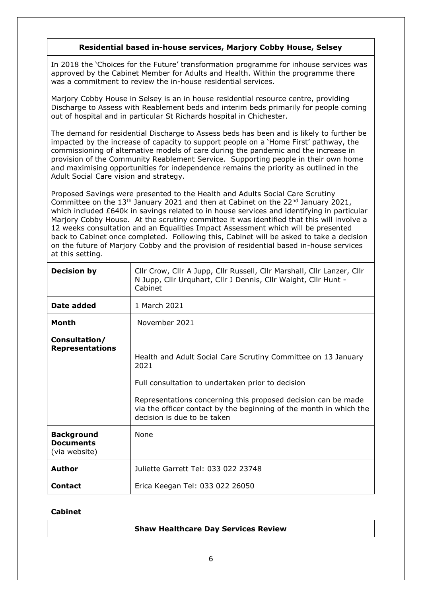## <span id="page-5-0"></span>**Residential based in-house services, Marjory Cobby House, Selsey**

In 2018 the 'Choices for the Future' transformation programme for inhouse services was approved by the Cabinet Member for Adults and Health. Within the programme there was a commitment to review the in-house residential services.

Marjory Cobby House in Selsey is an in house residential resource centre, providing Discharge to Assess with Reablement beds and interim beds primarily for people coming out of hospital and in particular St Richards hospital in Chichester.

The demand for residential Discharge to Assess beds has been and is likely to further be impacted by the increase of capacity to support people on a 'Home First' pathway, the commissioning of alternative models of care during the pandemic and the increase in provision of the Community Reablement Service. Supporting people in their own home and maximising opportunities for independence remains the priority as outlined in the Adult Social Care vision and strategy.

Proposed Savings were presented to the Health and Adults Social Care Scrutiny Committee on the 13<sup>th</sup> January 2021 and then at Cabinet on the 22<sup>nd</sup> January 2021, which included £640k in savings related to in house services and identifying in particular Marjory Cobby House. At the scrutiny committee it was identified that this will involve a 12 weeks consultation and an Equalities Impact Assessment which will be presented back to Cabinet once completed. Following this, Cabinet will be asked to take a decision on the future of Marjory Cobby and the provision of residential based in-house services at this setting.

| <b>Decision by</b>                                     | Cllr Crow, Cllr A Jupp, Cllr Russell, Cllr Marshall, Cllr Lanzer, Cllr<br>N Jupp, Cllr Urquhart, Cllr J Dennis, Cllr Waight, Cllr Hunt -<br>Cabinet                                                                                                                                              |
|--------------------------------------------------------|--------------------------------------------------------------------------------------------------------------------------------------------------------------------------------------------------------------------------------------------------------------------------------------------------|
| Date added                                             | 1 March 2021                                                                                                                                                                                                                                                                                     |
| Month                                                  | November 2021                                                                                                                                                                                                                                                                                    |
| Consultation/<br><b>Representations</b>                | Health and Adult Social Care Scrutiny Committee on 13 January<br>2021<br>Full consultation to undertaken prior to decision<br>Representations concerning this proposed decision can be made<br>via the officer contact by the beginning of the month in which the<br>decision is due to be taken |
| <b>Background</b><br><b>Documents</b><br>(via website) | None                                                                                                                                                                                                                                                                                             |
| <b>Author</b>                                          | Juliette Garrett Tel: 033 022 23748                                                                                                                                                                                                                                                              |
| <b>Contact</b>                                         | Erica Keegan Tel: 033 022 26050                                                                                                                                                                                                                                                                  |

## **Cabinet**

## <span id="page-5-1"></span>**Shaw Healthcare Day Services Review**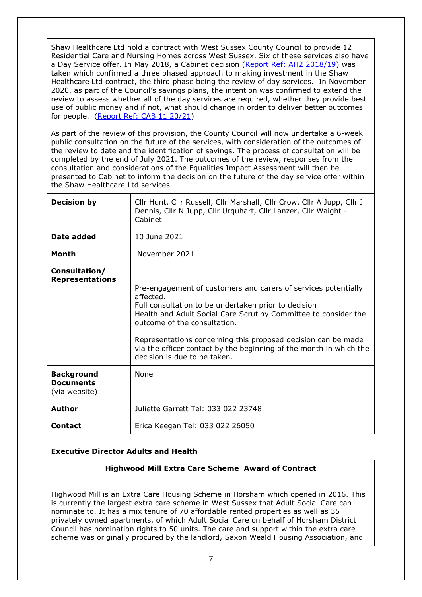Shaw Healthcare Ltd hold a contract with West Sussex County Council to provide 12 Residential Care and Nursing Homes across West Sussex. Six of these services also have a Day Service offer. In May 2018, a Cabinet decision [\(Report Ref: AH2 2018/19\)](http://www2.westsussex.gov.uk/ds/edd/ah/ah02_18-19.pdf) was taken which confirmed a three phased approach to making investment in the Shaw Healthcare Ltd contract, the third phase being the review of day services. In November 2020, as part of the Council's savings plans, the intention was confirmed to extend the review to assess whether all of the day services are required, whether they provide best use of public money and if not, what should change in order to deliver better outcomes for people. [\(Report Ref: CAB 11 20/21\)](https://westsussex.moderngov.co.uk/documents/s20023/Item%207%20-%20Economy%20Reset%20Plan.pdf)

As part of the review of this provision, the County Council will now undertake a 6-week public consultation on the future of the services, with consideration of the outcomes of the review to date and the identification of savings. The process of consultation will be completed by the end of July 2021. The outcomes of the review, responses from the consultation and considerations of the Equalities Impact Assessment will then be presented to Cabinet to inform the decision on the future of the day service offer within the Shaw Healthcare Ltd services.

| <b>Decision by</b>                                     | Cllr Hunt, Cllr Russell, Cllr Marshall, Cllr Crow, Cllr A Jupp, Cllr J<br>Dennis, Cllr N Jupp, Cllr Urquhart, Cllr Lanzer, Cllr Waight -<br>Cabinet                                                                                                                                                                                                                                                           |
|--------------------------------------------------------|---------------------------------------------------------------------------------------------------------------------------------------------------------------------------------------------------------------------------------------------------------------------------------------------------------------------------------------------------------------------------------------------------------------|
| Date added                                             | 10 June 2021                                                                                                                                                                                                                                                                                                                                                                                                  |
| <b>Month</b>                                           | November 2021                                                                                                                                                                                                                                                                                                                                                                                                 |
| Consultation/<br><b>Representations</b>                | Pre-engagement of customers and carers of services potentially<br>affected.<br>Full consultation to be undertaken prior to decision<br>Health and Adult Social Care Scrutiny Committee to consider the<br>outcome of the consultation.<br>Representations concerning this proposed decision can be made<br>via the officer contact by the beginning of the month in which the<br>decision is due to be taken. |
| <b>Background</b><br><b>Documents</b><br>(via website) | <b>None</b>                                                                                                                                                                                                                                                                                                                                                                                                   |
| Author                                                 | Juliette Garrett Tel: 033 022 23748                                                                                                                                                                                                                                                                                                                                                                           |
| <b>Contact</b>                                         | Erica Keegan Tel: 033 022 26050                                                                                                                                                                                                                                                                                                                                                                               |

## **Executive Director Adults and Health**

## <span id="page-6-0"></span>**Highwood Mill Extra Care Scheme Award of Contract**

Highwood Mill is an Extra Care Housing Scheme in Horsham which opened in 2016. This is currently the largest extra care scheme in West Sussex that Adult Social Care can nominate to. It has a mix tenure of 70 affordable rented properties as well as 35 privately owned apartments, of which Adult Social Care on behalf of Horsham District Council has nomination rights to 50 units. The care and support within the extra care scheme was originally procured by the landlord, Saxon Weald Housing Association, and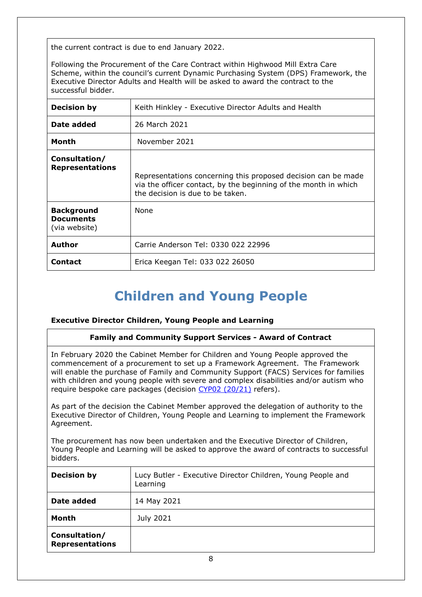the current contract is due to end January 2022.

Following the Procurement of the Care Contract within Highwood Mill Extra Care Scheme, within the council's current Dynamic Purchasing System (DPS) Framework, the Executive Director Adults and Health will be asked to award the contract to the successful bidder.

| <b>Decision by</b>                                     | Keith Hinkley - Executive Director Adults and Health                                                                                                                 |
|--------------------------------------------------------|----------------------------------------------------------------------------------------------------------------------------------------------------------------------|
| Date added                                             | 26 March 2021                                                                                                                                                        |
| Month                                                  | November 2021                                                                                                                                                        |
| Consultation/<br><b>Representations</b>                | Representations concerning this proposed decision can be made<br>via the officer contact, by the beginning of the month in which<br>the decision is due to be taken. |
| <b>Background</b><br><b>Documents</b><br>(via website) | <b>None</b>                                                                                                                                                          |
| Author                                                 | Carrie Anderson Tel: 0330 022 22996                                                                                                                                  |
| Contact                                                | Erica Keegan Tel: 033 022 26050                                                                                                                                      |

# <span id="page-7-0"></span>**Children and Young People**

## **Executive Director Children, Young People and Learning**

## **Family and Community Support Services - Award of Contract**

In February 2020 the Cabinet Member for Children and Young People approved the commencement of a procurement to set up a Framework Agreement. The Framework will enable the purchase of Family and Community Support (FACS) Services for families with children and young people with severe and complex disabilities and/or autism who require bespoke care packages (decision [CYP02 \(20/21\)](https://westsussex.moderngov.co.uk/documents/s22652/CYP0220.21_SEND%20FACS%20Procurement.pdf) refers).

As part of the decision the Cabinet Member approved the delegation of authority to the Executive Director of Children, Young People and Learning to implement the Framework Agreement.

The procurement has now been undertaken and the Executive Director of Children, Young People and Learning will be asked to approve the award of contracts to successful bidders.

| <b>Decision by</b>                      | Lucy Butler - Executive Director Children, Young People and<br>Learning |
|-----------------------------------------|-------------------------------------------------------------------------|
| Date added                              | 14 May 2021                                                             |
| Month                                   | July 2021                                                               |
| Consultation/<br><b>Representations</b> |                                                                         |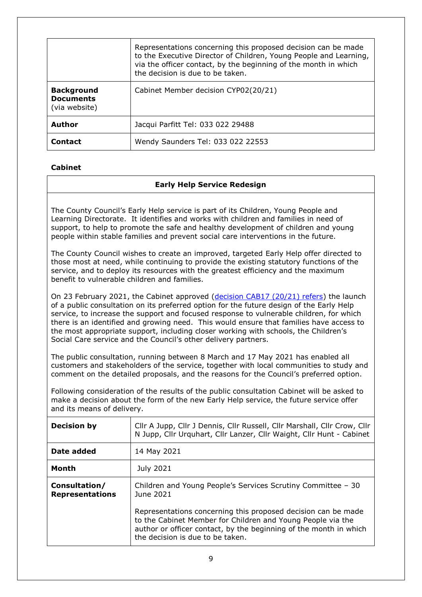|                                                        | Representations concerning this proposed decision can be made<br>to the Executive Director of Children, Young People and Learning,<br>via the officer contact, by the beginning of the month in which<br>the decision is due to be taken. |
|--------------------------------------------------------|-------------------------------------------------------------------------------------------------------------------------------------------------------------------------------------------------------------------------------------------|
| <b>Background</b><br><b>Documents</b><br>(via website) | Cabinet Member decision CYP02(20/21)                                                                                                                                                                                                      |
| Author                                                 | Jacqui Parfitt Tel: 033 022 29488                                                                                                                                                                                                         |
| <b>Contact</b>                                         | Wendy Saunders Tel: 033 022 22553                                                                                                                                                                                                         |

## **Cabinet**

## <span id="page-8-0"></span>**Early Help Service Redesign**

The County Council's Early Help service is part of its Children, Young People and Learning Directorate. It identifies and works with children and families in need of support, to help to promote the safe and healthy development of children and young people within stable families and prevent social care interventions in the future.

The County Council wishes to create an improved, targeted Early Help offer directed to those most at need, while continuing to provide the existing statutory functions of the service, and to deploy its resources with the greatest efficiency and the maximum benefit to vulnerable children and families.

On 23 February 2021, the Cabinet approved [\(decision CAB17 \(20/21\) refers\)](https://westsussex.moderngov.co.uk/ieDecisionDetails.aspx?AIId=9690) the launch of a public consultation on its preferred option for the future design of the Early Help service, to increase the support and focused response to vulnerable children, for which there is an identified and growing need. This would ensure that families have access to the most appropriate support, including closer working with schools, the Children's Social Care service and the Council's other delivery partners.

The public consultation, running between 8 March and 17 May 2021 has enabled all customers and stakeholders of the service, together with local communities to study and comment on the detailed proposals, and the reasons for the Council's preferred option.

Following consideration of the results of the public consultation Cabinet will be asked to make a decision about the form of the new Early Help service, the future service offer and its means of delivery.

| <b>Decision by</b>                      | Cllr A Jupp, Cllr J Dennis, Cllr Russell, Cllr Marshall, Cllr Crow, Cllr<br>N Jupp, Cllr Urquhart, Cllr Lanzer, Cllr Waight, Cllr Hunt - Cabinet                                                                                      |
|-----------------------------------------|---------------------------------------------------------------------------------------------------------------------------------------------------------------------------------------------------------------------------------------|
| Date added                              | 14 May 2021                                                                                                                                                                                                                           |
| Month                                   | July 2021                                                                                                                                                                                                                             |
| Consultation/<br><b>Representations</b> | Children and Young People's Services Scrutiny Committee - 30<br>June 2021                                                                                                                                                             |
|                                         | Representations concerning this proposed decision can be made<br>to the Cabinet Member for Children and Young People via the<br>author or officer contact, by the beginning of the month in which<br>the decision is due to be taken. |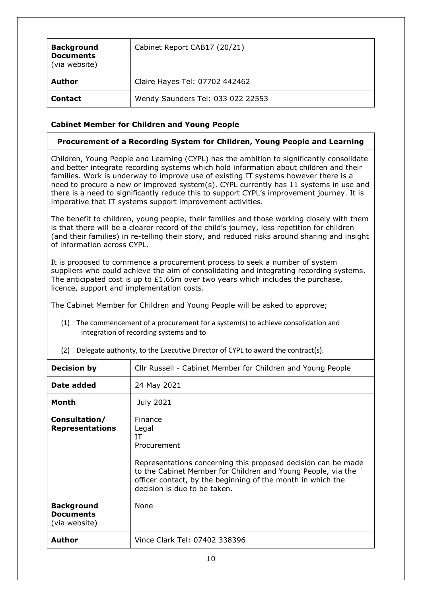| <b>Background</b><br><b>Documents</b><br>(via website) | Cabinet Report CAB17 (20/21)      |
|--------------------------------------------------------|-----------------------------------|
| Author                                                 | Claire Hayes Tel: 07702 442462    |
| <b>Contact</b>                                         | Wendy Saunders Tel: 033 022 22553 |

## **Cabinet Member for Children and Young People**

## <span id="page-9-0"></span>**Procurement of a Recording System for Children, Young People and Learning**

Children, Young People and Learning (CYPL) has the ambition to significantly consolidate and better integrate recording systems which hold information about children and their families. Work is underway to improve use of existing IT systems however there is a need to procure a new or improved system(s). CYPL currently has 11 systems in use and there is a need to significantly reduce this to support CYPL's improvement journey. It is imperative that IT systems support improvement activities.

The benefit to children, young people, their families and those working closely with them is that there will be a clearer record of the child's journey, less repetition for children (and their families) in re-telling their story, and reduced risks around sharing and insight of information across CYPL.

It is proposed to commence a procurement process to seek a number of system suppliers who could achieve the aim of consolidating and integrating recording systems. The anticipated cost is up to £1.65m over two years which includes the purchase, licence, support and implementation costs.

The Cabinet Member for Children and Young People will be asked to approve;

(1) The commencement of a procurement for a system(s) to achieve consolidation and integration of recording systems and to

| <b>Decision by</b>                                     | Cllr Russell - Cabinet Member for Children and Young People                                                                                                                                                                                                           |
|--------------------------------------------------------|-----------------------------------------------------------------------------------------------------------------------------------------------------------------------------------------------------------------------------------------------------------------------|
| Date added                                             | 24 May 2021                                                                                                                                                                                                                                                           |
| <b>Month</b>                                           | July 2021                                                                                                                                                                                                                                                             |
| Consultation/<br><b>Representations</b>                | Finance<br>Legal<br>IΤ<br>Procurement<br>Representations concerning this proposed decision can be made<br>to the Cabinet Member for Children and Young People, via the<br>officer contact, by the beginning of the month in which the<br>decision is due to be taken. |
| <b>Background</b><br><b>Documents</b><br>(via website) | None                                                                                                                                                                                                                                                                  |
| <b>Author</b>                                          | Vince Clark Tel: 07402 338396                                                                                                                                                                                                                                         |

(2) Delegate authority, to the Executive Director of CYPL to award the contract(s).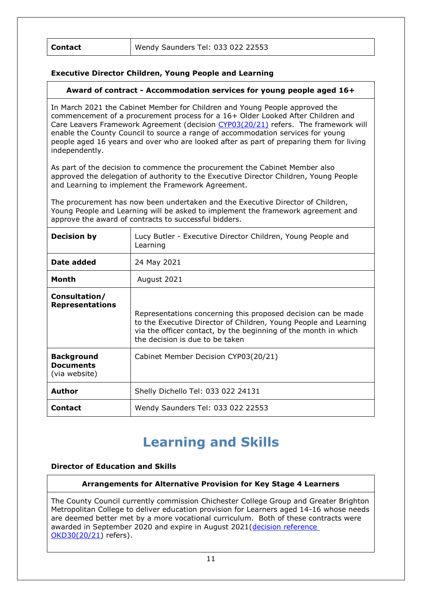| <b>Contact</b> | Wendy Saunders Tel: 033 022 22553 |
|----------------|-----------------------------------|
|----------------|-----------------------------------|

## **Executive Director Children, Young People and Learning**

### <span id="page-10-0"></span>**Award of contract - Accommodation services for young people aged 16+**

In March 2021 the Cabinet Member for Children and Young People approved the commencement of a procurement process for a 16+ Older Looked After Children and Care Leavers Framework Agreement (decision [CYP03\(20/21\)](https://westsussex.moderngov.co.uk/ieDecisionDetails.aspx?ID=1219) refers. The framework will enable the County Council to source a range of accommodation services for young people aged 16 years and over who are looked after as part of preparing them for living independently.

As part of the decision to commence the procurement the Cabinet Member also approved the delegation of authority to the Executive Director Children, Young People and Learning to implement the Framework Agreement.

The procurement has now been undertaken and the Executive Director of Children, Young People and Learning will be asked to implement the framework agreement and approve the award of contracts to successful bidders.

| <b>Decision by</b>                                     | Lucy Butler - Executive Director Children, Young People and<br>Learning                                                                                                                                                                 |
|--------------------------------------------------------|-----------------------------------------------------------------------------------------------------------------------------------------------------------------------------------------------------------------------------------------|
| Date added                                             | 24 May 2021                                                                                                                                                                                                                             |
| Month                                                  | August 2021                                                                                                                                                                                                                             |
| Consultation/<br><b>Representations</b>                | Representations concerning this proposed decision can be made<br>to the Executive Director of Children, Young People and Learning<br>via the officer contact, by the beginning of the month in which<br>the decision is due to be taken |
| <b>Background</b><br><b>Documents</b><br>(via website) | Cabinet Member Decision CYP03(20/21)                                                                                                                                                                                                    |
| <b>Author</b>                                          | Shelly Dichello Tel: 033 022 24131                                                                                                                                                                                                      |
| <b>Contact</b>                                         | Wendy Saunders Tel: 033 022 22553                                                                                                                                                                                                       |

# <span id="page-10-1"></span>**Learning and Skills**

#### **Director of Education and Skills**

## **Arrangements for Alternative Provision for Key Stage 4 Learners**

The County Council currently commission Chichester College Group and Greater Brighton Metropolitan College to deliver education provision for Learners aged 14-16 whose needs are deemed better met by a more vocational curriculum. Both of these contracts were awarded in September 2020 and expire in August 2021[\(decision reference](https://westsussex.moderngov.co.uk/ieDecisionDetails.aspx?id=1028&LLL=0)  [OKD30\(20/21\)](https://westsussex.moderngov.co.uk/ieDecisionDetails.aspx?id=1028&LLL=0) refers).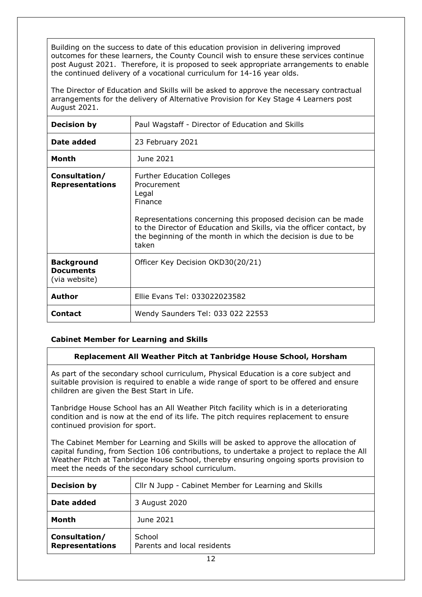Building on the success to date of this education provision in delivering improved outcomes for these learners, the County Council wish to ensure these services continue post August 2021. Therefore, it is proposed to seek appropriate arrangements to enable the continued delivery of a vocational curriculum for 14-16 year olds.

The Director of Education and Skills will be asked to approve the necessary contractual arrangements for the delivery of Alternative Provision for Key Stage 4 Learners post August 2021.

| <b>Decision by</b>                                     | Paul Wagstaff - Director of Education and Skills                                                                                                                                                                                                                                        |
|--------------------------------------------------------|-----------------------------------------------------------------------------------------------------------------------------------------------------------------------------------------------------------------------------------------------------------------------------------------|
| Date added                                             | 23 February 2021                                                                                                                                                                                                                                                                        |
| Month                                                  | June 2021                                                                                                                                                                                                                                                                               |
| Consultation/<br><b>Representations</b>                | <b>Further Education Colleges</b><br>Procurement<br>Legal<br>Finance<br>Representations concerning this proposed decision can be made<br>to the Director of Education and Skills, via the officer contact, by<br>the beginning of the month in which the decision is due to be<br>taken |
| <b>Background</b><br><b>Documents</b><br>(via website) | Officer Key Decision OKD30(20/21)                                                                                                                                                                                                                                                       |
| Author                                                 | Ellie Evans Tel: 033022023582                                                                                                                                                                                                                                                           |
| <b>Contact</b>                                         | Wendy Saunders Tel: 033 022 22553                                                                                                                                                                                                                                                       |

## **Cabinet Member for Learning and Skills**

## <span id="page-11-0"></span>**Replacement All Weather Pitch at Tanbridge House School, Horsham**

As part of the secondary school curriculum, Physical Education is a core subject and suitable provision is required to enable a wide range of sport to be offered and ensure children are given the Best Start in Life.

Tanbridge House School has an All Weather Pitch facility which is in a deteriorating condition and is now at the end of its life. The pitch requires replacement to ensure continued provision for sport.

The Cabinet Member for Learning and Skills will be asked to approve the allocation of capital funding, from Section 106 contributions, to undertake a project to replace the All Weather Pitch at Tanbridge House School, thereby ensuring ongoing sports provision to meet the needs of the secondary school curriculum.

| <b>Decision by</b>                      | Cllr N Jupp - Cabinet Member for Learning and Skills |
|-----------------------------------------|------------------------------------------------------|
| Date added                              | 3 August 2020                                        |
| Month                                   | June 2021                                            |
| Consultation/<br><b>Representations</b> | School<br>Parents and local residents                |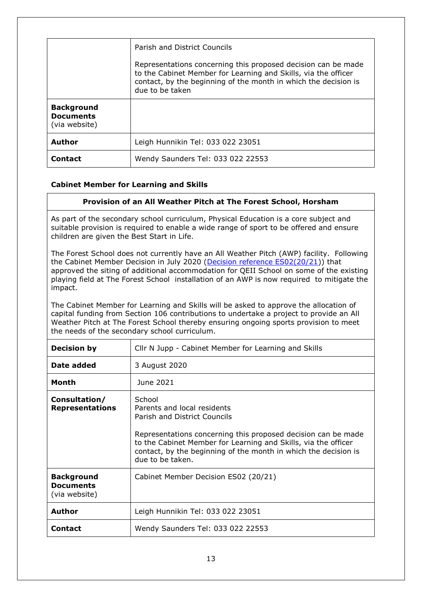|                                                        | Parish and District Councils<br>Representations concerning this proposed decision can be made<br>to the Cabinet Member for Learning and Skills, via the officer<br>contact, by the beginning of the month in which the decision is<br>due to be taken |
|--------------------------------------------------------|-------------------------------------------------------------------------------------------------------------------------------------------------------------------------------------------------------------------------------------------------------|
| <b>Background</b><br><b>Documents</b><br>(via website) |                                                                                                                                                                                                                                                       |
| <b>Author</b>                                          | Leigh Hunnikin Tel: 033 022 23051                                                                                                                                                                                                                     |
| <b>Contact</b>                                         | Wendy Saunders Tel: 033 022 22553                                                                                                                                                                                                                     |

## **Cabinet Member for Learning and Skills**

#### <span id="page-12-0"></span>**Provision of an All Weather Pitch at The Forest School, Horsham**

As part of the secondary school curriculum, Physical Education is a core subject and suitable provision is required to enable a wide range of sport to be offered and ensure children are given the Best Start in Life.

The Forest School does not currently have an All Weather Pitch (AWP) facility. Following the Cabinet Member Decision in July 2020 [\(Decision reference ES02\(20/21\)](https://westsussex.moderngov.co.uk/ieDecisionDetails.aspx?id=975&LLL=0)) that approved the siting of additional accommodation for QEII School on some of the existing playing field at The Forest School installation of an AWP is now required to mitigate the impact.

The Cabinet Member for Learning and Skills will be asked to approve the allocation of capital funding from Section 106 contributions to undertake a project to provide an All Weather Pitch at The Forest School thereby ensuring ongoing sports provision to meet the needs of the secondary school curriculum.

| <b>Decision by</b>                                     | Cllr N Jupp - Cabinet Member for Learning and Skills                                                                                                                                                                                                                                            |
|--------------------------------------------------------|-------------------------------------------------------------------------------------------------------------------------------------------------------------------------------------------------------------------------------------------------------------------------------------------------|
| Date added                                             | 3 August 2020                                                                                                                                                                                                                                                                                   |
| Month                                                  | June 2021                                                                                                                                                                                                                                                                                       |
| Consultation/<br><b>Representations</b>                | School<br>Parents and local residents<br>Parish and District Councils<br>Representations concerning this proposed decision can be made<br>to the Cabinet Member for Learning and Skills, via the officer<br>contact, by the beginning of the month in which the decision is<br>due to be taken. |
| <b>Background</b><br><b>Documents</b><br>(via website) | Cabinet Member Decision ES02 (20/21)                                                                                                                                                                                                                                                            |
| <b>Author</b>                                          | Leigh Hunnikin Tel: 033 022 23051                                                                                                                                                                                                                                                               |
| Contact                                                | Wendy Saunders Tel: 033 022 22553                                                                                                                                                                                                                                                               |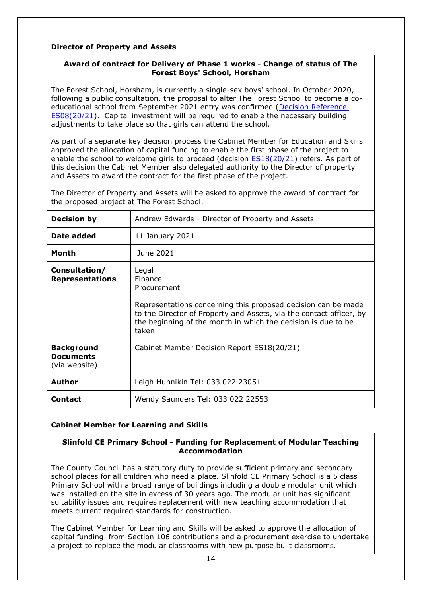## **Director of Property and Assets**

## <span id="page-13-0"></span>**Award of contract for Delivery of Phase 1 works - Change of status of The Forest Boys' School, Horsham**

The Forest School, Horsham, is currently a single-sex boys' school. In October 2020, following a public consultation, the proposal to alter The Forest School to become a coeducational school from September 2021 entry was confirmed [\(Decision Reference](https://westsussex.moderngov.co.uk/ieDecisionDetails.aspx?ID=1079)  [ES08\(20/21\)](https://westsussex.moderngov.co.uk/ieDecisionDetails.aspx?ID=1079). Capital investment will be required to enable the necessary building adjustments to take place so that girls can attend the school.

As part of a separate key decision process the Cabinet Member for Education and Skills approved the allocation of capital funding to enable the first phase of the project to enable the school to welcome girls to proceed (decision **ES18(20/21)** refers. As part of this decision the Cabinet Member also delegated authority to the Director of property and Assets to award the contract for the first phase of the project.

The Director of Property and Assets will be asked to approve the award of contract for the proposed project at The Forest School.

| <b>Decision by</b>                                     | Andrew Edwards - Director of Property and Assets                                                                                                                                                                                                   |
|--------------------------------------------------------|----------------------------------------------------------------------------------------------------------------------------------------------------------------------------------------------------------------------------------------------------|
| Date added                                             | 11 January 2021                                                                                                                                                                                                                                    |
| Month                                                  | June 2021                                                                                                                                                                                                                                          |
| Consultation/<br><b>Representations</b>                | Legal<br>Finance<br>Procurement<br>Representations concerning this proposed decision can be made<br>to the Director of Property and Assets, via the contact officer, by<br>the beginning of the month in which the decision is due to be<br>taken. |
| <b>Background</b><br><b>Documents</b><br>(via website) | Cabinet Member Decision Report ES18(20/21)                                                                                                                                                                                                         |
| Author                                                 | Leigh Hunnikin Tel: 033 022 23051                                                                                                                                                                                                                  |
| <b>Contact</b>                                         | Wendy Saunders Tel: 033 022 22553                                                                                                                                                                                                                  |

## **Cabinet Member for Learning and Skills**

## <span id="page-13-1"></span>**Slinfold CE Primary School - Funding for Replacement of Modular Teaching Accommodation**

The County Council has a statutory duty to provide sufficient primary and secondary school places for all children who need a place. Slinfold CE Primary School is a 5 class Primary School with a broad range of buildings including a double modular unit which was installed on the site in excess of 30 years ago. The modular unit has significant suitability issues and requires replacement with new teaching accommodation that meets current required standards for construction.

The Cabinet Member for Learning and Skills will be asked to approve the allocation of capital funding from Section 106 contributions and a procurement exercise to undertake a project to replace the modular classrooms with new purpose built classrooms.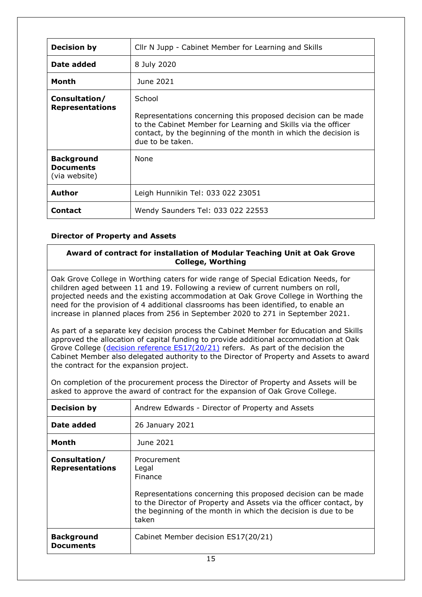| <b>Decision by</b>                                     | Cllr N Jupp - Cabinet Member for Learning and Skills                                                                                                                                                                            |
|--------------------------------------------------------|---------------------------------------------------------------------------------------------------------------------------------------------------------------------------------------------------------------------------------|
| Date added                                             | 8 July 2020                                                                                                                                                                                                                     |
| Month                                                  | June 2021                                                                                                                                                                                                                       |
| Consultation/<br><b>Representations</b>                | School<br>Representations concerning this proposed decision can be made<br>to the Cabinet Member for Learning and Skills via the officer<br>contact, by the beginning of the month in which the decision is<br>due to be taken. |
| <b>Background</b><br><b>Documents</b><br>(via website) | None                                                                                                                                                                                                                            |
| <b>Author</b>                                          | Leigh Hunnikin Tel: 033 022 23051                                                                                                                                                                                               |
| <b>Contact</b>                                         | Wendy Saunders Tel: 033 022 22553                                                                                                                                                                                               |

## **Director of Property and Assets**

## <span id="page-14-0"></span>**Award of contract for installation of Modular Teaching Unit at Oak Grove College, Worthing**

Oak Grove College in Worthing caters for wide range of Special Edication Needs, for children aged between 11 and 19. Following a review of current numbers on roll, projected needs and the existing accommodation at Oak Grove College in Worthing the need for the provision of 4 additional classrooms has been identified, to enable an increase in planned places from 256 in September 2020 to 271 in September 2021.

As part of a separate key decision process the Cabinet Member for Education and Skills approved the allocation of capital funding to provide additional accommodation at Oak Grove College [\(decision reference](https://westsussex.moderngov.co.uk/ieDecisionDetails.aspx?id=1223&LLL=0) ES17(20/21) refers. As part of the decision the Cabinet Member also delegated authority to the Director of Property and Assets to award the contract for the expansion project.

| On completion of the procurement process the Director of Property and Assets will be |  |  |
|--------------------------------------------------------------------------------------|--|--|
| asked to approve the award of contract for the expansion of Oak Grove College.       |  |  |

| <b>Decision by</b>                      | Andrew Edwards - Director of Property and Assets                                                                                                                                                                                                        |
|-----------------------------------------|---------------------------------------------------------------------------------------------------------------------------------------------------------------------------------------------------------------------------------------------------------|
| Date added                              | 26 January 2021                                                                                                                                                                                                                                         |
| Month                                   | June 2021                                                                                                                                                                                                                                               |
| Consultation/<br><b>Representations</b> | Procurement<br>Legal<br><b>Finance</b><br>Representations concerning this proposed decision can be made<br>to the Director of Property and Assets via the officer contact, by<br>the beginning of the month in which the decision is due to be<br>taken |
| <b>Background</b><br><b>Documents</b>   | Cabinet Member decision ES17(20/21)                                                                                                                                                                                                                     |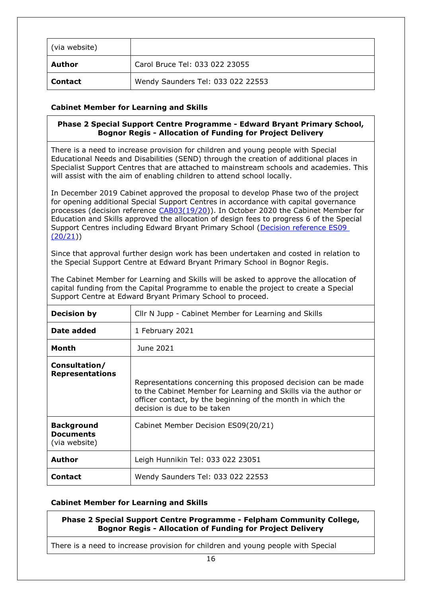| (via website)  |                                   |
|----------------|-----------------------------------|
| Author         | Carol Bruce Tel: 033 022 23055    |
| <b>Contact</b> | Wendy Saunders Tel: 033 022 22553 |

## **Cabinet Member for Learning and Skills**

## <span id="page-15-0"></span>**Phase 2 Special Support Centre Programme - Edward Bryant Primary School, Bognor Regis - Allocation of Funding for Project Delivery**

There is a need to increase provision for children and young people with Special Educational Needs and Disabilities (SEND) through the creation of additional places in Specialist Support Centres that are attached to mainstream schools and academies. This will assist with the aim of enabling children to attend school locally.

In December 2019 Cabinet approved the proposal to develop Phase two of the project for opening additional Special Support Centres in accordance with capital governance processes (decision reference [CAB03\(19/20\)](https://westsussex.moderngov.co.uk/ieDecisionDetails.aspx?ID=781)). In October 2020 the Cabinet Member for Education and Skills approved the allocation of design fees to progress 6 of the Special Support Centres including Edward Bryant Primary School [\(Decision reference ES09](https://westsussex.moderngov.co.uk/ieDecisionDetails.aspx?ID=1080)   $(20/21)$ 

Since that approval further design work has been undertaken and costed in relation to the Special Support Centre at Edward Bryant Primary School in Bognor Regis.

The Cabinet Member for Learning and Skills will be asked to approve the allocation of capital funding from the Capital Programme to enable the project to create a Special Support Centre at Edward Bryant Primary School to proceed.

| <b>Decision by</b>                                     | Cllr N Jupp - Cabinet Member for Learning and Skills                                                                                                                                                                           |
|--------------------------------------------------------|--------------------------------------------------------------------------------------------------------------------------------------------------------------------------------------------------------------------------------|
| Date added                                             | 1 February 2021                                                                                                                                                                                                                |
| Month                                                  | June 2021                                                                                                                                                                                                                      |
| Consultation/<br><b>Representations</b>                | Representations concerning this proposed decision can be made<br>to the Cabinet Member for Learning and Skills via the author or<br>officer contact, by the beginning of the month in which the<br>decision is due to be taken |
| <b>Background</b><br><b>Documents</b><br>(via website) | Cabinet Member Decision ES09(20/21)                                                                                                                                                                                            |
| <b>Author</b>                                          | Leigh Hunnikin Tel: 033 022 23051                                                                                                                                                                                              |
| Contact                                                | Wendy Saunders Tel: 033 022 22553                                                                                                                                                                                              |

## **Cabinet Member for Learning and Skills**

<span id="page-15-1"></span>**Phase 2 Special Support Centre Programme - Felpham Community College, Bognor Regis - Allocation of Funding for Project Delivery**

There is a need to increase provision for children and young people with Special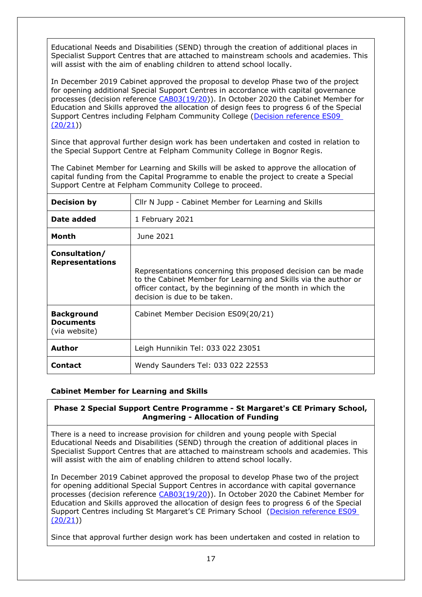Educational Needs and Disabilities (SEND) through the creation of additional places in Specialist Support Centres that are attached to mainstream schools and academies. This will assist with the aim of enabling children to attend school locally.

In December 2019 Cabinet approved the proposal to develop Phase two of the project for opening additional Special Support Centres in accordance with capital governance processes (decision reference [CAB03\(19/20\)](CAB03(19/20)). In October 2020 the Cabinet Member for Education and Skills approved the allocation of design fees to progress 6 of the Special Support Centres including Felpham Community College [\(Decision reference ES09](https://westsussex.moderngov.co.uk/ieDecisionDetails.aspx?ID=1080)  [\(20/21\)](https://westsussex.moderngov.co.uk/ieDecisionDetails.aspx?ID=1080))

Since that approval further design work has been undertaken and costed in relation to the Special Support Centre at Felpham Community College in Bognor Regis.

The Cabinet Member for Learning and Skills will be asked to approve the allocation of capital funding from the Capital Programme to enable the project to create a Special Support Centre at Felpham Community College to proceed.

| <b>Decision by</b>                                     | Cllr N Jupp - Cabinet Member for Learning and Skills                                                                                                                                                                            |
|--------------------------------------------------------|---------------------------------------------------------------------------------------------------------------------------------------------------------------------------------------------------------------------------------|
| Date added                                             | 1 February 2021                                                                                                                                                                                                                 |
| Month                                                  | June 2021                                                                                                                                                                                                                       |
| Consultation/<br><b>Representations</b>                | Representations concerning this proposed decision can be made<br>to the Cabinet Member for Learning and Skills via the author or<br>officer contact, by the beginning of the month in which the<br>decision is due to be taken. |
| <b>Background</b><br><b>Documents</b><br>(via website) | Cabinet Member Decision ES09(20/21)                                                                                                                                                                                             |
| <b>Author</b>                                          | Leigh Hunnikin Tel: 033 022 23051                                                                                                                                                                                               |
| Contact                                                | Wendy Saunders Tel: 033 022 22553                                                                                                                                                                                               |

## **Cabinet Member for Learning and Skills**

## <span id="page-16-0"></span>**Phase 2 Special Support Centre Programme - St Margaret's CE Primary School, Angmering - Allocation of Funding**

There is a need to increase provision for children and young people with Special Educational Needs and Disabilities (SEND) through the creation of additional places in Specialist Support Centres that are attached to mainstream schools and academies. This will assist with the aim of enabling children to attend school locally.

In December 2019 Cabinet approved the proposal to develop Phase two of the project for opening additional Special Support Centres in accordance with capital governance processes (decision reference [CAB03\(19/20\)](https://westsussex.moderngov.co.uk/ieDecisionDetails.aspx?ID=781)). In October 2020 the Cabinet Member for Education and Skills approved the allocation of design fees to progress 6 of the Special Support Centres including St Margaret's CE Primary School ([Decision reference ES09](https://westsussex.moderngov.co.uk/ieDecisionDetails.aspx?ID=1080)  [\(20/21\)](https://westsussex.moderngov.co.uk/ieDecisionDetails.aspx?ID=1080))

Since that approval further design work has been undertaken and costed in relation to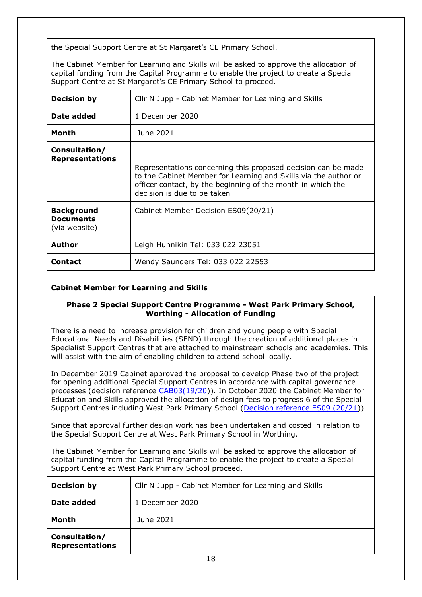the Special Support Centre at St Margaret's CE Primary School.

The Cabinet Member for Learning and Skills will be asked to approve the allocation of capital funding from the Capital Programme to enable the project to create a Special Support Centre at St Margaret's CE Primary School to proceed.

| <b>Decision by</b>                                     | Cllr N Jupp - Cabinet Member for Learning and Skills                                                                                                                                                                           |
|--------------------------------------------------------|--------------------------------------------------------------------------------------------------------------------------------------------------------------------------------------------------------------------------------|
| Date added                                             | 1 December 2020                                                                                                                                                                                                                |
| Month                                                  | June 2021                                                                                                                                                                                                                      |
| Consultation/<br><b>Representations</b>                | Representations concerning this proposed decision can be made<br>to the Cabinet Member for Learning and Skills via the author or<br>officer contact, by the beginning of the month in which the<br>decision is due to be taken |
| <b>Background</b><br><b>Documents</b><br>(via website) | Cabinet Member Decision ES09(20/21)                                                                                                                                                                                            |
| Author                                                 | Leigh Hunnikin Tel: 033 022 23051                                                                                                                                                                                              |
| <b>Contact</b>                                         | Wendy Saunders Tel: 033 022 22553                                                                                                                                                                                              |

## **Cabinet Member for Learning and Skills**

#### <span id="page-17-0"></span>**Phase 2 Special Support Centre Programme - West Park Primary School, Worthing - Allocation of Funding**

There is a need to increase provision for children and young people with Special Educational Needs and Disabilities (SEND) through the creation of additional places in Specialist Support Centres that are attached to mainstream schools and academies. This will assist with the aim of enabling children to attend school locally.

In December 2019 Cabinet approved the proposal to develop Phase two of the project for opening additional Special Support Centres in accordance with capital governance processes (decision reference [CAB03\(19/20\)](https://westsussex.moderngov.co.uk/ieDecisionDetails.aspx?ID=781)). In October 2020 the Cabinet Member for Education and Skills approved the allocation of design fees to progress 6 of the Special Support Centres including West Park Primary School [\(Decision reference ES09 \(20/21\)](https://westsussex.moderngov.co.uk/ieDecisionDetails.aspx?ID=1080))

Since that approval further design work has been undertaken and costed in relation to the Special Support Centre at West Park Primary School in Worthing.

The Cabinet Member for Learning and Skills will be asked to approve the allocation of capital funding from the Capital Programme to enable the project to create a Special Support Centre at West Park Primary School proceed.

| <b>Decision by</b>                      | Cllr N Jupp - Cabinet Member for Learning and Skills |
|-----------------------------------------|------------------------------------------------------|
| Date added                              | 1 December 2020                                      |
| Month                                   | June 2021                                            |
| Consultation/<br><b>Representations</b> |                                                      |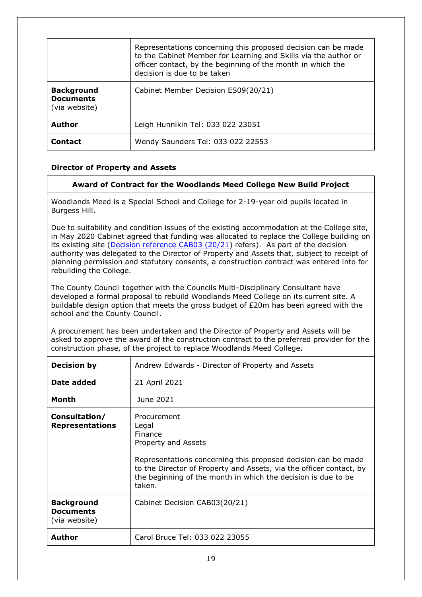|                                                        | Representations concerning this proposed decision can be made<br>to the Cabinet Member for Learning and Skills via the author or<br>officer contact, by the beginning of the month in which the<br>decision is due to be taken |
|--------------------------------------------------------|--------------------------------------------------------------------------------------------------------------------------------------------------------------------------------------------------------------------------------|
| <b>Background</b><br><b>Documents</b><br>(via website) | Cabinet Member Decision ES09(20/21)                                                                                                                                                                                            |
| <b>Author</b>                                          | Leigh Hunnikin Tel: 033 022 23051                                                                                                                                                                                              |
| <b>Contact</b>                                         | Wendy Saunders Tel: 033 022 22553                                                                                                                                                                                              |

## **Director of Property and Assets**

## <span id="page-18-0"></span>**Award of Contract for the Woodlands Meed College New Build Project**

Woodlands Meed is a Special School and College for 2-19-year old pupils located in Burgess Hill.

Due to suitability and condition issues of the existing accommodation at the College site, in May 2020 Cabinet agreed that funding was allocated to replace the College building on its existing site [\(Decision reference CAB03 \(20/21\)](https://westsussex.moderngov.co.uk/ieDecisionDetails.aspx?ID=912) refers). As part of the decision authority was delegated to the Director of Property and Assets that, subject to receipt of planning permission and statutory consents, a construction contract was entered into for rebuilding the College.

The County Council together with the Councils Multi-Disciplinary Consultant have developed a formal proposal to rebuild Woodlands Meed College on its current site. A buildable design option that meets the gross budget of  $E20m$  has been agreed with the school and the County Council.

A procurement has been undertaken and the Director of Property and Assets will be asked to approve the award of the construction contract to the preferred provider for the construction phase, of the project to replace Woodlands Meed College.

| <b>Decision by</b>                                     | Andrew Edwards - Director of Property and Assets                                                                                                                                                                                                                          |
|--------------------------------------------------------|---------------------------------------------------------------------------------------------------------------------------------------------------------------------------------------------------------------------------------------------------------------------------|
| Date added                                             | 21 April 2021                                                                                                                                                                                                                                                             |
| Month                                                  | June 2021                                                                                                                                                                                                                                                                 |
| Consultation/<br><b>Representations</b>                | Procurement<br>Legal<br>Finance<br>Property and Assets<br>Representations concerning this proposed decision can be made<br>to the Director of Property and Assets, via the officer contact, by<br>the beginning of the month in which the decision is due to be<br>taken. |
| <b>Background</b><br><b>Documents</b><br>(via website) | Cabinet Decision CAB03(20/21)                                                                                                                                                                                                                                             |
| Author                                                 | Carol Bruce Tel: 033 022 23055                                                                                                                                                                                                                                            |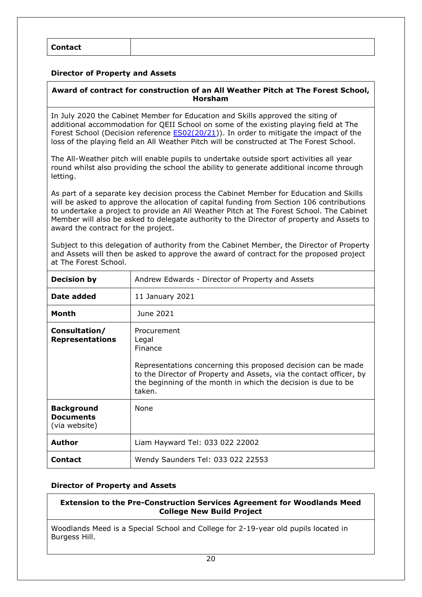### **Director of Property and Assets**

## <span id="page-19-0"></span>**Award of contract for construction of an All Weather Pitch at The Forest School, Horsham**

In July 2020 the Cabinet Member for Education and Skills approved the siting of additional accommodation for QEII School on some of the existing playing field at The Forest School (Decision reference [ES02\(20/21\)](https://westsussex.moderngov.co.uk/ieDecisionDetails.aspx?id=975&LLL=0)). In order to mitigate the impact of the loss of the playing field an All Weather Pitch will be constructed at The Forest School.

The All-Weather pitch will enable pupils to undertake outside sport activities all year round whilst also providing the school the ability to generate additional income through letting.

As part of a separate key decision process the Cabinet Member for Education and Skills will be asked to approve the allocation of capital funding from Section 106 contributions to undertake a project to provide an All Weather Pitch at The Forest School. The Cabinet Member will also be asked to delegate authority to the Director of property and Assets to award the contract for the project.

Subject to this delegation of authority from the Cabinet Member, the Director of Property and Assets will then be asked to approve the award of contract for the proposed project at The Forest School.

| <b>Decision by</b>                                     | Andrew Edwards - Director of Property and Assets                                                                                                                                                                                                   |
|--------------------------------------------------------|----------------------------------------------------------------------------------------------------------------------------------------------------------------------------------------------------------------------------------------------------|
| Date added                                             | 11 January 2021                                                                                                                                                                                                                                    |
| <b>Month</b>                                           | June 2021                                                                                                                                                                                                                                          |
| Consultation/<br><b>Representations</b>                | Procurement<br>Legal<br>Finance<br>Representations concerning this proposed decision can be made<br>to the Director of Property and Assets, via the contact officer, by<br>the beginning of the month in which the decision is due to be<br>taken. |
| <b>Background</b><br><b>Documents</b><br>(via website) | <b>None</b>                                                                                                                                                                                                                                        |
| <b>Author</b>                                          | Liam Hayward Tel: 033 022 22002                                                                                                                                                                                                                    |
| <b>Contact</b>                                         | Wendy Saunders Tel: 033 022 22553                                                                                                                                                                                                                  |

#### **Director of Property and Assets**

## <span id="page-19-1"></span>**Extension to the Pre-Construction Services Agreement for Woodlands Meed College New Build Project**

Woodlands Meed is a Special School and College for 2-19-year old pupils located in Burgess Hill.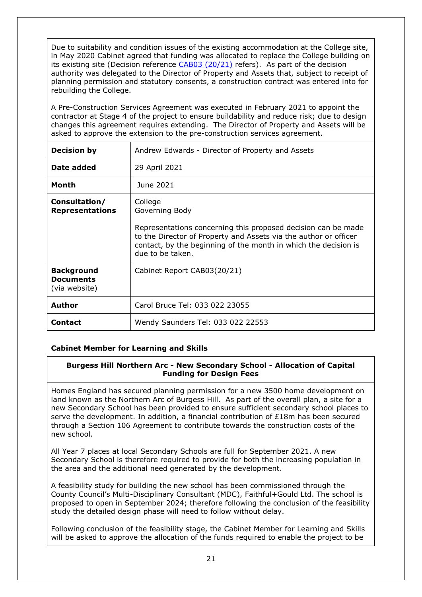Due to suitability and condition issues of the existing accommodation at the College site, in May 2020 Cabinet agreed that funding was allocated to replace the College building on its existing site (Decision reference [CAB03 \(20/21\)](https://westsussex.moderngov.co.uk/ieDecisionDetails.aspx?ID=912) refers). As part of the decision authority was delegated to the Director of Property and Assets that, subject to receipt of planning permission and statutory consents, a construction contract was entered into for rebuilding the College.

A Pre-Construction Services Agreement was executed in February 2021 to appoint the contractor at Stage 4 of the project to ensure buildability and reduce risk; due to design changes this agreement requires extending. The Director of Property and Assets will be asked to approve the extension to the pre-construction services agreement.

| <b>Decision by</b>                                     | Andrew Edwards - Director of Property and Assets                                                                                                                                                                                                      |
|--------------------------------------------------------|-------------------------------------------------------------------------------------------------------------------------------------------------------------------------------------------------------------------------------------------------------|
| Date added                                             | 29 April 2021                                                                                                                                                                                                                                         |
| Month                                                  | June 2021                                                                                                                                                                                                                                             |
| Consultation/<br><b>Representations</b>                | College<br>Governing Body<br>Representations concerning this proposed decision can be made<br>to the Director of Property and Assets via the author or officer<br>contact, by the beginning of the month in which the decision is<br>due to be taken. |
| <b>Background</b><br><b>Documents</b><br>(via website) | Cabinet Report CAB03(20/21)                                                                                                                                                                                                                           |
| Author                                                 | Carol Bruce Tel: 033 022 23055                                                                                                                                                                                                                        |
| <b>Contact</b>                                         | Wendy Saunders Tel: 033 022 22553                                                                                                                                                                                                                     |

## **Cabinet Member for Learning and Skills**

## <span id="page-20-0"></span>**Burgess Hill Northern Arc - New Secondary School - Allocation of Capital Funding for Design Fees**

Homes England has secured planning permission for a new 3500 home development on land known as the Northern Arc of Burgess Hill. As part of the overall plan, a site for a new Secondary School has been provided to ensure sufficient secondary school places to serve the development. In addition, a financial contribution of £18m has been secured through a Section 106 Agreement to contribute towards the construction costs of the new school.

All Year 7 places at local Secondary Schools are full for September 2021. A new Secondary School is therefore required to provide for both the increasing population in the area and the additional need generated by the development.

A feasibility study for building the new school has been commissioned through the County Council's Multi-Disciplinary Consultant (MDC), Faithful+Gould Ltd. The school is proposed to open in September 2024; therefore following the conclusion of the feasibility study the detailed design phase will need to follow without delay.

Following conclusion of the feasibility stage, the Cabinet Member for Learning and Skills will be asked to approve the allocation of the funds required to enable the project to be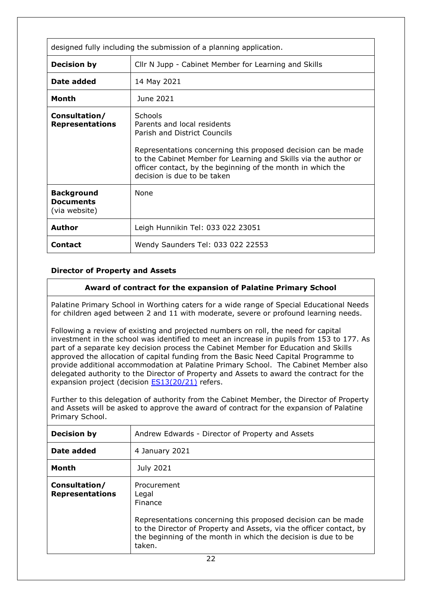| designed fully including the submission of a planning application. |                                                                                                                                                                                                                                                                                                          |
|--------------------------------------------------------------------|----------------------------------------------------------------------------------------------------------------------------------------------------------------------------------------------------------------------------------------------------------------------------------------------------------|
| <b>Decision by</b>                                                 | Cllr N Jupp - Cabinet Member for Learning and Skills                                                                                                                                                                                                                                                     |
| Date added                                                         | 14 May 2021                                                                                                                                                                                                                                                                                              |
| Month                                                              | June 2021                                                                                                                                                                                                                                                                                                |
| Consultation/<br><b>Representations</b>                            | Schools<br>Parents and local residents<br>Parish and District Councils<br>Representations concerning this proposed decision can be made<br>to the Cabinet Member for Learning and Skills via the author or<br>officer contact, by the beginning of the month in which the<br>decision is due to be taken |
| <b>Background</b><br><b>Documents</b><br>(via website)             | <b>None</b>                                                                                                                                                                                                                                                                                              |
| Author                                                             | Leigh Hunnikin Tel: 033 022 23051                                                                                                                                                                                                                                                                        |
| <b>Contact</b>                                                     | Wendy Saunders Tel: 033 022 22553                                                                                                                                                                                                                                                                        |

## **Director of Property and Assets**

## <span id="page-21-0"></span>**Award of contract for the expansion of Palatine Primary School**

Palatine Primary School in Worthing caters for a wide range of Special Educational Needs for children aged between 2 and 11 with moderate, severe or profound learning needs.

Following a review of existing and projected numbers on roll, the need for capital investment in the school was identified to meet an increase in pupils from 153 to 177. As part of a separate key decision process the Cabinet Member for Education and Skills approved the allocation of capital funding from the Basic Need Capital Programme to provide additional accommodation at Palatine Primary School. The Cabinet Member also delegated authority to the Director of Property and Assets to award the contract for the expansion project (decision **ES13(20/21)** refers.

Further to this delegation of authority from the Cabinet Member, the Director of Property and Assets will be asked to approve the award of contract for the expansion of Palatine Primary School.

| <b>Decision by</b>                      | Andrew Edwards - Director of Property and Assets                                                                                                                                                                                                          |
|-----------------------------------------|-----------------------------------------------------------------------------------------------------------------------------------------------------------------------------------------------------------------------------------------------------------|
| Date added                              | 4 January 2021                                                                                                                                                                                                                                            |
| Month                                   | July 2021                                                                                                                                                                                                                                                 |
| Consultation/<br><b>Representations</b> | Procurement<br>Legal<br><b>Finance</b><br>Representations concerning this proposed decision can be made<br>to the Director of Property and Assets, via the officer contact, by<br>the beginning of the month in which the decision is due to be<br>taken. |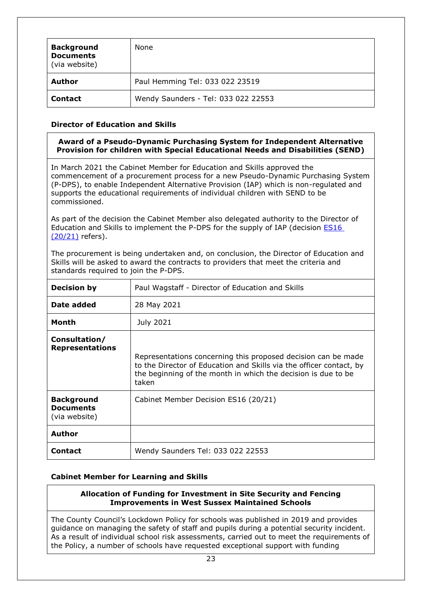| <b>Background</b><br><b>Documents</b><br>(via website) | None                                |
|--------------------------------------------------------|-------------------------------------|
| Author                                                 | Paul Hemming Tel: 033 022 23519     |
| <b>Contact</b>                                         | Wendy Saunders - Tel: 033 022 22553 |

## **Director of Education and Skills**

#### <span id="page-22-0"></span>**Award of a Pseudo-Dynamic Purchasing System for Independent Alternative Provision for children with Special Educational Needs and Disabilities (SEND)**

In March 2021 the Cabinet Member for Education and Skills approved the commencement of a procurement process for a new Pseudo-Dynamic Purchasing System (P-DPS), to enable Independent Alternative Provision (IAP) which is non-regulated and supports the educational requirements of individual children with SEND to be commissioned.

As part of the decision the Cabinet Member also delegated authority to the Director of Education and Skills to implement the P-DPS for the supply of IAP (decision [ES16](https://westsussex.moderngov.co.uk/ieDecisionDetails.aspx?id=1222&LLL=0)  [\(20/21\)](https://westsussex.moderngov.co.uk/ieDecisionDetails.aspx?id=1222&LLL=0) refers).

The procurement is being undertaken and, on conclusion, the Director of Education and Skills will be asked to award the contracts to providers that meet the criteria and standards required to join the P-DPS.

| <b>Decision by</b>                                     | Paul Wagstaff - Director of Education and Skills                                                                                                                                                               |
|--------------------------------------------------------|----------------------------------------------------------------------------------------------------------------------------------------------------------------------------------------------------------------|
| Date added                                             | 28 May 2021                                                                                                                                                                                                    |
| Month                                                  | July 2021                                                                                                                                                                                                      |
| Consultation/<br><b>Representations</b>                | Representations concerning this proposed decision can be made<br>to the Director of Education and Skills via the officer contact, by<br>the beginning of the month in which the decision is due to be<br>taken |
| <b>Background</b><br><b>Documents</b><br>(via website) | Cabinet Member Decision ES16 (20/21)                                                                                                                                                                           |
| <b>Author</b>                                          |                                                                                                                                                                                                                |
| <b>Contact</b>                                         | Wendy Saunders Tel: 033 022 22553                                                                                                                                                                              |

## **Cabinet Member for Learning and Skills**

#### <span id="page-22-1"></span>**Allocation of Funding for Investment in Site Security and Fencing Improvements in West Sussex Maintained Schools**

The County Council's Lockdown Policy for schools was published in 2019 and provides guidance on managing the safety of staff and pupils during a potential security incident. As a result of individual school risk assessments, carried out to meet the requirements of the Policy, a number of schools have requested exceptional support with funding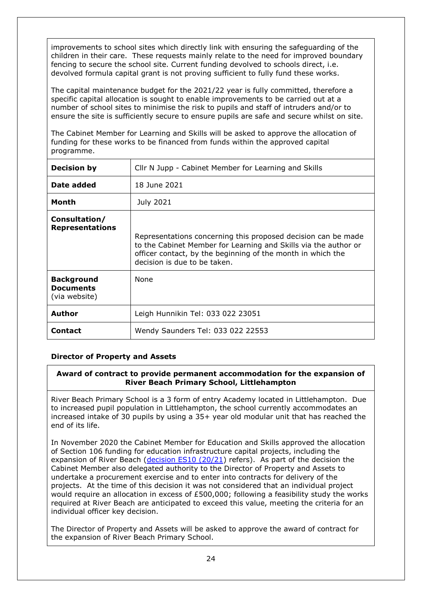improvements to school sites which directly link with ensuring the safeguarding of the children in their care. These requests mainly relate to the need for improved boundary fencing to secure the school site. Current funding devolved to schools direct, i.e. devolved formula capital grant is not proving sufficient to fully fund these works.

The capital maintenance budget for the 2021/22 year is fully committed, therefore a specific capital allocation is sought to enable improvements to be carried out at a number of school sites to minimise the risk to pupils and staff of intruders and/or to ensure the site is sufficiently secure to ensure pupils are safe and secure whilst on site.

The Cabinet Member for Learning and Skills will be asked to approve the allocation of funding for these works to be financed from funds within the approved capital programme.

| <b>Decision by</b>                                     | Cllr N Jupp - Cabinet Member for Learning and Skills                                                                                                                                                                            |
|--------------------------------------------------------|---------------------------------------------------------------------------------------------------------------------------------------------------------------------------------------------------------------------------------|
| Date added                                             | 18 June 2021                                                                                                                                                                                                                    |
| Month                                                  | July 2021                                                                                                                                                                                                                       |
| Consultation/<br><b>Representations</b>                | Representations concerning this proposed decision can be made<br>to the Cabinet Member for Learning and Skills via the author or<br>officer contact, by the beginning of the month in which the<br>decision is due to be taken. |
| <b>Background</b><br><b>Documents</b><br>(via website) | <b>None</b>                                                                                                                                                                                                                     |
| <b>Author</b>                                          | Leigh Hunnikin Tel: 033 022 23051                                                                                                                                                                                               |
| Contact                                                | Wendy Saunders Tel: 033 022 22553                                                                                                                                                                                               |

## **Director of Property and Assets**

## <span id="page-23-0"></span>**Award of contract to provide permanent accommodation for the expansion of River Beach Primary School, Littlehampton**

River Beach Primary School is a 3 form of entry Academy located in Littlehampton. Due to increased pupil population in Littlehampton, the school currently accommodates an increased intake of 30 pupils by using a 35+ year old modular unit that has reached the end of its life.

In November 2020 the Cabinet Member for Education and Skills approved the allocation of Section 106 funding for education infrastructure capital projects, including the expansion of River Beach [\(decision ES10 \(20/21\)](https://westsussex.moderngov.co.uk/documents/s19706/ES1020.21_S106_programme_Report.pdf) refers). As part of the decision the Cabinet Member also delegated authority to the Director of Property and Assets to undertake a procurement exercise and to enter into contracts for delivery of the projects. At the time of this decision it was not considered that an individual project would require an allocation in excess of £500,000; following a feasibility study the works required at River Beach are anticipated to exceed this value, meeting the criteria for an individual officer key decision.

The Director of Property and Assets will be asked to approve the award of contract for the expansion of River Beach Primary School.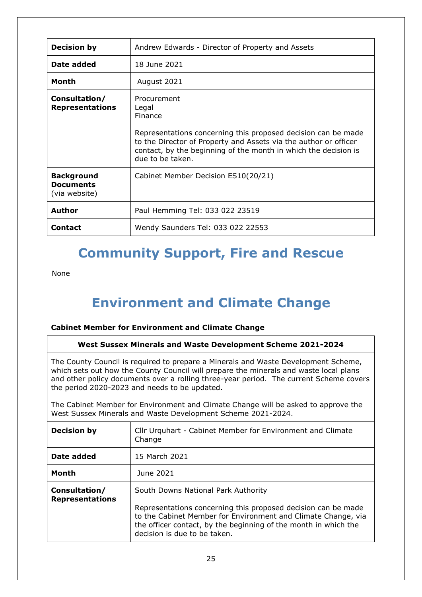| <b>Decision by</b>                                     | Andrew Edwards - Director of Property and Assets                                                                                                                                                                                                            |
|--------------------------------------------------------|-------------------------------------------------------------------------------------------------------------------------------------------------------------------------------------------------------------------------------------------------------------|
| Date added                                             | 18 June 2021                                                                                                                                                                                                                                                |
| Month                                                  | August 2021                                                                                                                                                                                                                                                 |
| Consultation/<br><b>Representations</b>                | Procurement<br>Legal<br>Finance<br>Representations concerning this proposed decision can be made<br>to the Director of Property and Assets via the author or officer<br>contact, by the beginning of the month in which the decision is<br>due to be taken. |
| <b>Background</b><br><b>Documents</b><br>(via website) | Cabinet Member Decision ES10(20/21)                                                                                                                                                                                                                         |
| Author                                                 | Paul Hemming Tel: 033 022 23519                                                                                                                                                                                                                             |
| <b>Contact</b>                                         | Wendy Saunders Tel: 033 022 22553                                                                                                                                                                                                                           |

# **Community Support, Fire and Rescue**

None

# <span id="page-24-0"></span>**Environment and Climate Change**

## **Cabinet Member for Environment and Climate Change**

## **West Sussex Minerals and Waste Development Scheme 2021-2024**

The County Council is required to prepare a Minerals and Waste Development Scheme, which sets out how the County Council will prepare the minerals and waste local plans and other policy documents over a rolling three-year period. The current Scheme covers the period 2020-2023 and needs to be updated.

The Cabinet Member for Environment and Climate Change will be asked to approve the West Sussex Minerals and Waste Development Scheme 2021-2024.

| <b>Decision by</b>                      | Cllr Urquhart - Cabinet Member for Environment and Climate<br>Change                                                                                                                                                                                                     |
|-----------------------------------------|--------------------------------------------------------------------------------------------------------------------------------------------------------------------------------------------------------------------------------------------------------------------------|
| Date added                              | 15 March 2021                                                                                                                                                                                                                                                            |
| Month                                   | June 2021                                                                                                                                                                                                                                                                |
| Consultation/<br><b>Representations</b> | South Downs National Park Authority<br>Representations concerning this proposed decision can be made<br>to the Cabinet Member for Environment and Climate Change, via<br>the officer contact, by the beginning of the month in which the<br>decision is due to be taken. |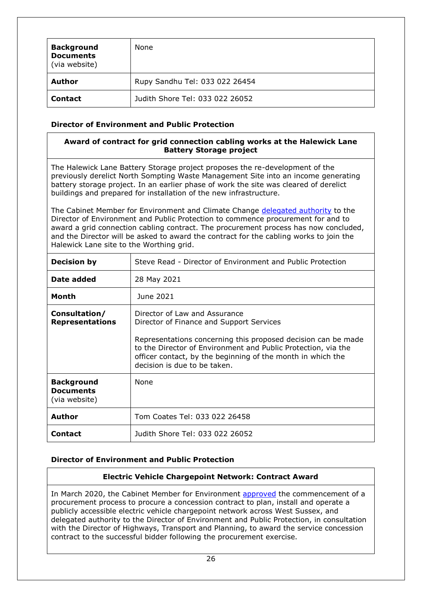| <b>Background</b><br><b>Documents</b><br>(via website) | None                            |
|--------------------------------------------------------|---------------------------------|
| Author                                                 | Rupy Sandhu Tel: 033 022 26454  |
| <b>Contact</b>                                         | Judith Shore Tel: 033 022 26052 |

## **Director of Environment and Public Protection**

## <span id="page-25-0"></span>**Award of contract for grid connection cabling works at the Halewick Lane Battery Storage project**

The Halewick Lane Battery Storage project proposes the re-development of the previously derelict North Sompting Waste Management Site into an income generating battery storage project. In an earlier phase of work the site was cleared of derelict buildings and prepared for installation of the new infrastructure.

The Cabinet Member for Environment and Climate Change [delegated authority](https://westsussex.moderngov.co.uk/ieDecisionDetails.aspx?ID=1214) to the Director of Environment and Public Protection to commence procurement for and to award a grid connection cabling contract. The procurement process has now concluded, and the Director will be asked to award the contract for the cabling works to join the Halewick Lane site to the Worthing grid.

| <b>Decision by</b>                                     | Steve Read - Director of Environment and Public Protection                                                                                                                                                                                                                                                 |
|--------------------------------------------------------|------------------------------------------------------------------------------------------------------------------------------------------------------------------------------------------------------------------------------------------------------------------------------------------------------------|
| Date added                                             | 28 May 2021                                                                                                                                                                                                                                                                                                |
| <b>Month</b>                                           | June 2021                                                                                                                                                                                                                                                                                                  |
| Consultation/<br><b>Representations</b>                | Director of Law and Assurance<br>Director of Finance and Support Services<br>Representations concerning this proposed decision can be made<br>to the Director of Environment and Public Protection, via the<br>officer contact, by the beginning of the month in which the<br>decision is due to be taken. |
| <b>Background</b><br><b>Documents</b><br>(via website) | None                                                                                                                                                                                                                                                                                                       |
| <b>Author</b>                                          | Tom Coates Tel: 033 022 26458                                                                                                                                                                                                                                                                              |
| <b>Contact</b>                                         | Judith Shore Tel: 033 022 26052                                                                                                                                                                                                                                                                            |

## **Director of Environment and Public Protection**

## <span id="page-25-1"></span>**Electric Vehicle Chargepoint Network: Contract Award**

In March 2020, the Cabinet Member for Environment [approved](https://westsussex.moderngov.co.uk/ieDecisionDetails.aspx?ID=875) the commencement of a procurement process to procure a concession contract to plan, install and operate a publicly accessible electric vehicle chargepoint network across West Sussex, and delegated authority to the Director of Environment and Public Protection, in consultation with the Director of Highways, Transport and Planning, to award the service concession contract to the successful bidder following the procurement exercise.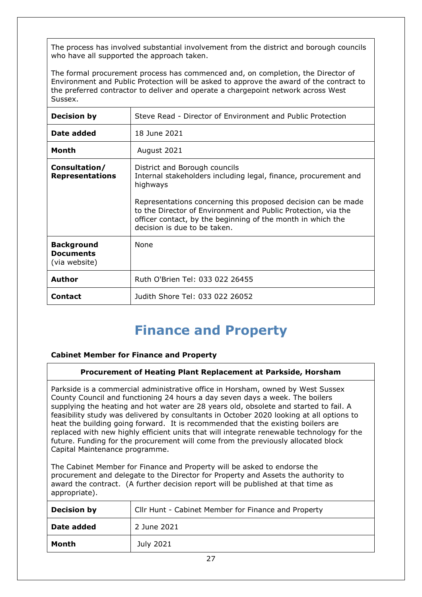The process has involved substantial involvement from the district and borough councils who have all supported the approach taken.

The formal procurement process has commenced and, on completion, the Director of Environment and Public Protection will be asked to approve the award of the contract to the preferred contractor to deliver and operate a chargepoint network across West Sussex.

| <b>Decision by</b>                                     | Steve Read - Director of Environment and Public Protection                                                                                                                                                                    |
|--------------------------------------------------------|-------------------------------------------------------------------------------------------------------------------------------------------------------------------------------------------------------------------------------|
| Date added                                             | 18 June 2021                                                                                                                                                                                                                  |
| <b>Month</b>                                           | August 2021                                                                                                                                                                                                                   |
| Consultation/<br><b>Representations</b>                | District and Borough councils<br>Internal stakeholders including legal, finance, procurement and<br>highways                                                                                                                  |
|                                                        | Representations concerning this proposed decision can be made<br>to the Director of Environment and Public Protection, via the<br>officer contact, by the beginning of the month in which the<br>decision is due to be taken. |
| <b>Background</b><br><b>Documents</b><br>(via website) | <b>None</b>                                                                                                                                                                                                                   |
| <b>Author</b>                                          | Ruth O'Brien Tel: 033 022 26455                                                                                                                                                                                               |
| <b>Contact</b>                                         | Judith Shore Tel: 033 022 26052                                                                                                                                                                                               |

## <span id="page-26-0"></span>**Finance and Property**

## **Cabinet Member for Finance and Property**

#### **Procurement of Heating Plant Replacement at Parkside, Horsham**

Parkside is a commercial administrative office in Horsham, owned by West Sussex County Council and functioning 24 hours a day seven days a week. The boilers supplying the heating and hot water are 28 years old, obsolete and started to fail. A feasibility study was delivered by consultants in October 2020 looking at all options to heat the building going forward. It is recommended that the existing boilers are replaced with new highly efficient units that will integrate renewable technology for the future. Funding for the procurement will come from the previously allocated block Capital Maintenance programme.

The Cabinet Member for Finance and Property will be asked to endorse the procurement and delegate to the Director for Property and Assets the authority to award the contract. (A further decision report will be published at that time as appropriate).

| <b>Decision by</b> | Cllr Hunt - Cabinet Member for Finance and Property |
|--------------------|-----------------------------------------------------|
| Date added         | 2 June 2021                                         |
| Month              | July 2021                                           |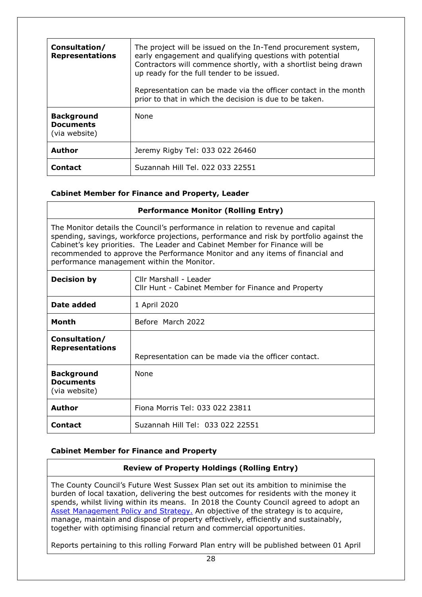| Consultation/<br><b>Representations</b>                | The project will be issued on the In-Tend procurement system,<br>early engagement and qualifying questions with potential<br>Contractors will commence shortly, with a shortlist being drawn<br>up ready for the full tender to be issued.<br>Representation can be made via the officer contact in the month<br>prior to that in which the decision is due to be taken. |
|--------------------------------------------------------|--------------------------------------------------------------------------------------------------------------------------------------------------------------------------------------------------------------------------------------------------------------------------------------------------------------------------------------------------------------------------|
| <b>Background</b><br><b>Documents</b><br>(via website) | None                                                                                                                                                                                                                                                                                                                                                                     |
| <b>Author</b>                                          | Jeremy Rigby Tel: 033 022 26460                                                                                                                                                                                                                                                                                                                                          |
| <b>Contact</b>                                         | Suzannah Hill Tel, 022 033 22551                                                                                                                                                                                                                                                                                                                                         |

## <span id="page-27-0"></span>**Cabinet Member for Finance and Property, Leader**

| <b>Performance Monitor (Rolling Entry)</b>                                                                                                                                                                                                                                                                                                                                                |                                                                               |
|-------------------------------------------------------------------------------------------------------------------------------------------------------------------------------------------------------------------------------------------------------------------------------------------------------------------------------------------------------------------------------------------|-------------------------------------------------------------------------------|
| The Monitor details the Council's performance in relation to revenue and capital<br>spending, savings, workforce projections, performance and risk by portfolio against the<br>Cabinet's key priorities. The Leader and Cabinet Member for Finance will be<br>recommended to approve the Performance Monitor and any items of financial and<br>performance management within the Monitor. |                                                                               |
| <b>Decision by</b>                                                                                                                                                                                                                                                                                                                                                                        | Cllr Marshall - Leader<br>Cllr Hunt - Cabinet Member for Finance and Property |
| Date added                                                                                                                                                                                                                                                                                                                                                                                | 1 April 2020                                                                  |
| <b>Month</b>                                                                                                                                                                                                                                                                                                                                                                              | Before March 2022                                                             |
| Consultation/<br><b>Representations</b>                                                                                                                                                                                                                                                                                                                                                   | Representation can be made via the officer contact.                           |
| <b>Background</b><br><b>Documents</b><br>(via website)                                                                                                                                                                                                                                                                                                                                    | <b>None</b>                                                                   |
| <b>Author</b>                                                                                                                                                                                                                                                                                                                                                                             | Fiona Morris Tel: 033 022 23811                                               |
| <b>Contact</b>                                                                                                                                                                                                                                                                                                                                                                            | Suzannah Hill Tel: 033 022 22551                                              |

#### **Cabinet Member for Finance and Property**

#### <span id="page-27-1"></span>**Review of Property Holdings (Rolling Entry)**

The County Council's Future West Sussex Plan set out its ambition to minimise the burden of local taxation, delivering the best outcomes for residents with the money it spends, whilst living within its means. In 2018 the County Council agreed to adopt an [Asset Management Policy and Strategy.](http://www2.westsussex.gov.uk/ds/edd/fr/fr06_18-19record.pdf) An objective of the strategy is to acquire, manage, maintain and dispose of property effectively, efficiently and sustainably, together with optimising financial return and commercial opportunities.

Reports pertaining to this rolling Forward Plan entry will be published between 01 April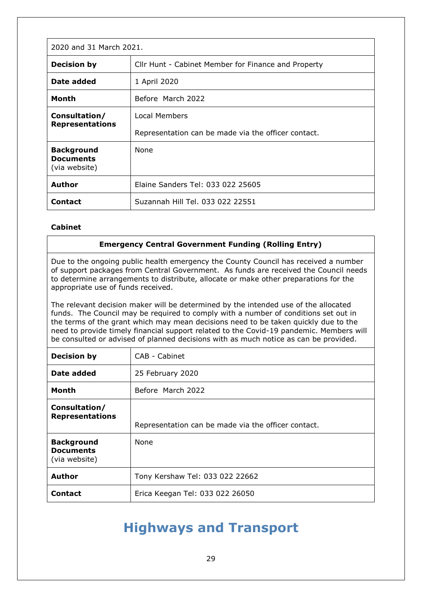| 2020 and 31 March 2021.                                |                                                     |
|--------------------------------------------------------|-----------------------------------------------------|
| <b>Decision by</b>                                     | Cllr Hunt - Cabinet Member for Finance and Property |
| Date added                                             | 1 April 2020                                        |
| <b>Month</b>                                           | Before March 2022                                   |
| Consultation/<br><b>Representations</b>                | <b>Local Members</b>                                |
|                                                        | Representation can be made via the officer contact. |
| <b>Background</b><br><b>Documents</b><br>(via website) | None                                                |
| Author                                                 | Elaine Sanders Tel: 033 022 25605                   |
| <b>Contact</b>                                         | Suzannah Hill Tel. 033 022 22551                    |

## **Cabinet**

#### <span id="page-28-0"></span>**Emergency Central Government Funding (Rolling Entry)**

Due to the ongoing public health emergency the County Council has received a number of support packages from Central Government. As funds are received the Council needs to determine arrangements to distribute, allocate or make other preparations for the appropriate use of funds received.

The relevant decision maker will be determined by the intended use of the allocated funds. The Council may be required to comply with a number of conditions set out in the terms of the grant which may mean decisions need to be taken quickly due to the need to provide timely financial support related to the Covid-19 pandemic. Members will be consulted or advised of planned decisions with as much notice as can be provided.

| <b>Decision by</b>                                     | CAB - Cabinet                                       |
|--------------------------------------------------------|-----------------------------------------------------|
| Date added                                             | 25 February 2020                                    |
| Month                                                  | Before March 2022                                   |
| Consultation/<br><b>Representations</b>                | Representation can be made via the officer contact. |
| <b>Background</b><br><b>Documents</b><br>(via website) | <b>None</b>                                         |
| <b>Author</b>                                          | Tony Kershaw Tel: 033 022 22662                     |
| Contact                                                | Erica Keegan Tel: 033 022 26050                     |

## **Highways and Transport**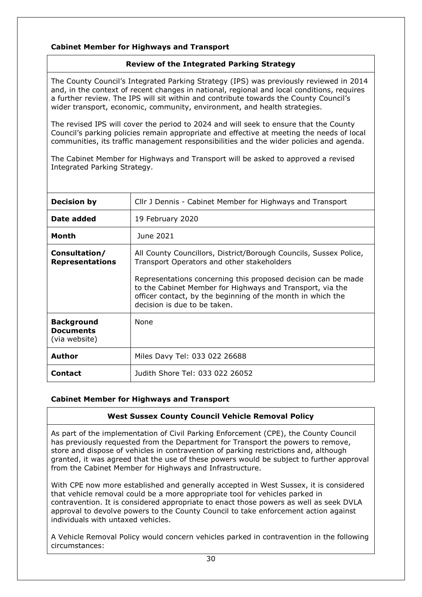## **Cabinet Member for Highways and Transport**

## <span id="page-29-0"></span>**Review of the Integrated Parking Strategy**

The County Council's Integrated Parking Strategy (IPS) was previously reviewed in 2014 and, in the context of recent changes in national, regional and local conditions, requires a further review. The IPS will sit within and contribute towards the County Council's wider transport, economic, community, environment, and health strategies.

The revised IPS will cover the period to 2024 and will seek to ensure that the County Council's parking policies remain appropriate and effective at meeting the needs of local communities, its traffic management responsibilities and the wider policies and agenda.

The Cabinet Member for Highways and Transport will be asked to approved a revised Integrated Parking Strategy.

| <b>Decision by</b>                                     | Cllr J Dennis - Cabinet Member for Highways and Transport                                                                                                                                                                                                                                                                                    |
|--------------------------------------------------------|----------------------------------------------------------------------------------------------------------------------------------------------------------------------------------------------------------------------------------------------------------------------------------------------------------------------------------------------|
| Date added                                             | 19 February 2020                                                                                                                                                                                                                                                                                                                             |
| Month                                                  | June 2021                                                                                                                                                                                                                                                                                                                                    |
| Consultation/<br><b>Representations</b>                | All County Councillors, District/Borough Councils, Sussex Police,<br>Transport Operators and other stakeholders<br>Representations concerning this proposed decision can be made<br>to the Cabinet Member for Highways and Transport, via the<br>officer contact, by the beginning of the month in which the<br>decision is due to be taken. |
| <b>Background</b><br><b>Documents</b><br>(via website) | None                                                                                                                                                                                                                                                                                                                                         |
| <b>Author</b>                                          | Miles Davy Tel: 033 022 26688                                                                                                                                                                                                                                                                                                                |
| Contact                                                | Judith Shore Tel: 033 022 26052                                                                                                                                                                                                                                                                                                              |

## **Cabinet Member for Highways and Transport**

## <span id="page-29-1"></span>**West Sussex County Council Vehicle Removal Policy**

As part of the implementation of Civil Parking Enforcement (CPE), the County Council has previously requested from the Department for Transport the powers to remove, store and dispose of vehicles in contravention of parking restrictions and, although granted, it was agreed that the use of these powers would be subject to further approval from the Cabinet Member for Highways and Infrastructure.

With CPE now more established and generally accepted in West Sussex, it is considered that vehicle removal could be a more appropriate tool for vehicles parked in contravention. It is considered appropriate to enact those powers as well as seek DVLA approval to devolve powers to the County Council to take enforcement action against individuals with untaxed vehicles.

A Vehicle Removal Policy would concern vehicles parked in contravention in the following circumstances: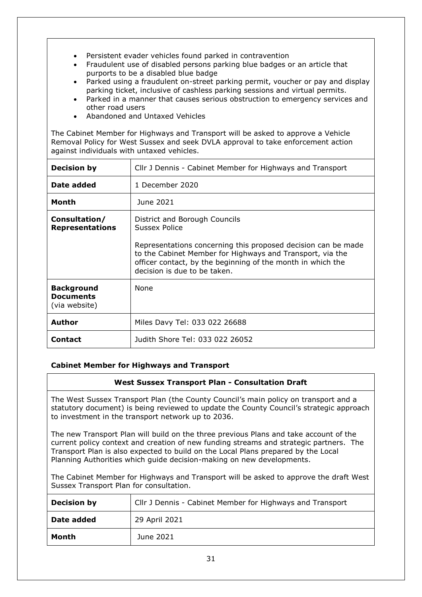- Persistent evader vehicles found parked in contravention
- Fraudulent use of disabled persons parking blue badges or an article that purports to be a disabled blue badge
- Parked using a fraudulent on-street parking permit, voucher or pay and display parking ticket, inclusive of cashless parking sessions and virtual permits.
- Parked in a manner that causes serious obstruction to emergency services and other road users
- Abandoned and Untaxed Vehicles

The Cabinet Member for Highways and Transport will be asked to approve a Vehicle Removal Policy for West Sussex and seek DVLA approval to take enforcement action against individuals with untaxed vehicles.

| <b>Decision by</b>                                     | Cllr J Dennis - Cabinet Member for Highways and Transport                                                                                                                                                                                                                   |
|--------------------------------------------------------|-----------------------------------------------------------------------------------------------------------------------------------------------------------------------------------------------------------------------------------------------------------------------------|
| Date added                                             | 1 December 2020                                                                                                                                                                                                                                                             |
| Month                                                  | June 2021                                                                                                                                                                                                                                                                   |
| Consultation/<br><b>Representations</b>                | District and Borough Councils<br>Sussex Police<br>Representations concerning this proposed decision can be made<br>to the Cabinet Member for Highways and Transport, via the<br>officer contact, by the beginning of the month in which the<br>decision is due to be taken. |
| <b>Background</b><br><b>Documents</b><br>(via website) | None                                                                                                                                                                                                                                                                        |
| <b>Author</b>                                          | Miles Davy Tel: 033 022 26688                                                                                                                                                                                                                                               |
| Contact                                                | Judith Shore Tel: 033 022 26052                                                                                                                                                                                                                                             |

## **Cabinet Member for Highways and Transport**

#### <span id="page-30-0"></span>**West Sussex Transport Plan - Consultation Draft**

The West Sussex Transport Plan (the County Council's main policy on transport and a statutory document) is being reviewed to update the County Council's strategic approach to investment in the transport network up to 2036.

The new Transport Plan will build on the three previous Plans and take account of the current policy context and creation of new funding streams and strategic partners. The Transport Plan is also expected to build on the Local Plans prepared by the Local Planning Authorities which guide decision-making on new developments.

The Cabinet Member for Highways and Transport will be asked to approve the draft West Sussex Transport Plan for consultation.

| <b>Decision by</b> | Cllr J Dennis - Cabinet Member for Highways and Transport |
|--------------------|-----------------------------------------------------------|
| Date added         | 29 April 2021                                             |
| Month              | June 2021                                                 |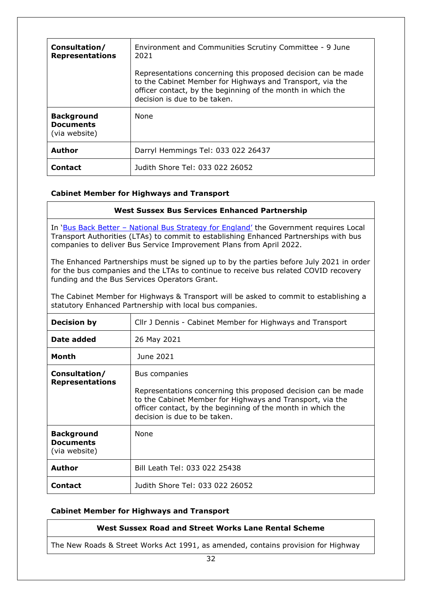| Consultation/<br><b>Representations</b>                | Environment and Communities Scrutiny Committee - 9 June<br>2021<br>Representations concerning this proposed decision can be made<br>to the Cabinet Member for Highways and Transport, via the<br>officer contact, by the beginning of the month in which the<br>decision is due to be taken. |
|--------------------------------------------------------|----------------------------------------------------------------------------------------------------------------------------------------------------------------------------------------------------------------------------------------------------------------------------------------------|
| <b>Background</b><br><b>Documents</b><br>(via website) | None                                                                                                                                                                                                                                                                                         |
| <b>Author</b>                                          | Darryl Hemmings Tel: 033 022 26437                                                                                                                                                                                                                                                           |
| Contact                                                | Judith Shore Tel: 033 022 26052                                                                                                                                                                                                                                                              |

## <span id="page-31-0"></span>**Cabinet Member for Highways and Transport**

| <b>West Sussex Bus Services Enhanced Partnership</b>                                                                                                                                                                                                   |                                                                                                                                                                                                                                            |  |
|--------------------------------------------------------------------------------------------------------------------------------------------------------------------------------------------------------------------------------------------------------|--------------------------------------------------------------------------------------------------------------------------------------------------------------------------------------------------------------------------------------------|--|
| In 'Bus Back Better - National Bus Strategy for England' the Government requires Local<br>Transport Authorities (LTAs) to commit to establishing Enhanced Partnerships with bus<br>companies to deliver Bus Service Improvement Plans from April 2022. |                                                                                                                                                                                                                                            |  |
| The Enhanced Partnerships must be signed up to by the parties before July 2021 in order<br>for the bus companies and the LTAs to continue to receive bus related COVID recovery<br>funding and the Bus Services Operators Grant.                       |                                                                                                                                                                                                                                            |  |
| The Cabinet Member for Highways & Transport will be asked to commit to establishing a<br>statutory Enhanced Partnership with local bus companies.                                                                                                      |                                                                                                                                                                                                                                            |  |
| <b>Decision by</b>                                                                                                                                                                                                                                     | Cllr J Dennis - Cabinet Member for Highways and Transport                                                                                                                                                                                  |  |
| Date added                                                                                                                                                                                                                                             | 26 May 2021                                                                                                                                                                                                                                |  |
| Month                                                                                                                                                                                                                                                  | June 2021                                                                                                                                                                                                                                  |  |
| Consultation/<br><b>Representations</b>                                                                                                                                                                                                                | Bus companies<br>Representations concerning this proposed decision can be made<br>to the Cabinet Member for Highways and Transport, via the<br>officer contact, by the beginning of the month in which the<br>decision is due to be taken. |  |
| <b>Background</b><br><b>Documents</b><br>(via website)                                                                                                                                                                                                 | None                                                                                                                                                                                                                                       |  |
| <b>Author</b>                                                                                                                                                                                                                                          | Bill Leath Tel: 033 022 25438                                                                                                                                                                                                              |  |
| <b>Contact</b>                                                                                                                                                                                                                                         | Judith Shore Tel: 033 022 26052                                                                                                                                                                                                            |  |

## **Cabinet Member for Highways and Transport**

## <span id="page-31-1"></span>**West Sussex Road and Street Works Lane Rental Scheme**

The New Roads & Street Works Act 1991, as amended, contains provision for Highway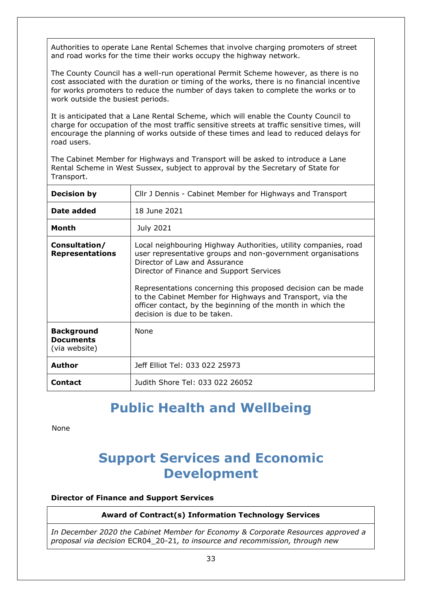Authorities to operate Lane Rental Schemes that involve charging promoters of street and road works for the time their works occupy the highway network.

The County Council has a well-run operational Permit Scheme however, as there is no cost associated with the duration or timing of the works, there is no financial incentive for works promoters to reduce the number of days taken to complete the works or to work outside the busiest periods.

It is anticipated that a Lane Rental Scheme, which will enable the County Council to charge for occupation of the most traffic sensitive streets at traffic sensitive times, will encourage the planning of works outside of these times and lead to reduced delays for road users.

The Cabinet Member for Highways and Transport will be asked to introduce a Lane Rental Scheme in West Sussex, subject to approval by the Secretary of State for Transport.

| <b>Decision by</b>                                     | Cllr J Dennis - Cabinet Member for Highways and Transport                                                                                                                                                                                                                                                                                                                                                                                |
|--------------------------------------------------------|------------------------------------------------------------------------------------------------------------------------------------------------------------------------------------------------------------------------------------------------------------------------------------------------------------------------------------------------------------------------------------------------------------------------------------------|
| Date added                                             | 18 June 2021                                                                                                                                                                                                                                                                                                                                                                                                                             |
| Month                                                  | July 2021                                                                                                                                                                                                                                                                                                                                                                                                                                |
| Consultation/<br><b>Representations</b>                | Local neighbouring Highway Authorities, utility companies, road<br>user representative groups and non-government organisations<br>Director of Law and Assurance<br>Director of Finance and Support Services<br>Representations concerning this proposed decision can be made<br>to the Cabinet Member for Highways and Transport, via the<br>officer contact, by the beginning of the month in which the<br>decision is due to be taken. |
| <b>Background</b><br><b>Documents</b><br>(via website) | None                                                                                                                                                                                                                                                                                                                                                                                                                                     |
| <b>Author</b>                                          | Jeff Elliot Tel: 033 022 25973                                                                                                                                                                                                                                                                                                                                                                                                           |
| <b>Contact</b>                                         | Judith Shore Tel: 033 022 26052                                                                                                                                                                                                                                                                                                                                                                                                          |

## **Public Health and Wellbeing**

None

## **Support Services and Economic Development**

## **Director of Finance and Support Services**

## <span id="page-32-0"></span>**Award of Contract(s) Information Technology Services**

*In December 2020 the Cabinet Member for Economy & Corporate Resources approved a proposal via decision* [ECR04\\_20-21](https://westsussex.moderngov.co.uk/ieDecisionDetails.aspx?ID=1158)*, to insource and recommission, through new*